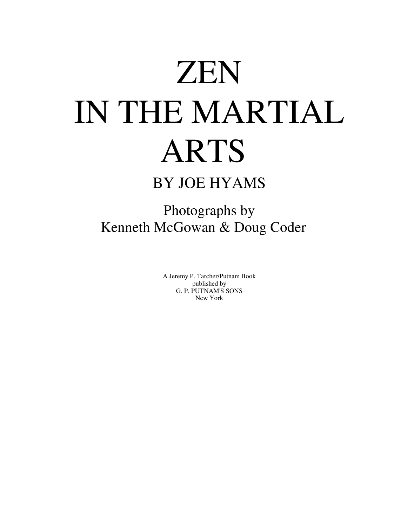# ZEN IN THE MARTIAL ARTS

BY JOE HYAMS

Photographs by Kenneth McGowan & Doug Coder

> A Jeremy P. Tarcher/Putnam Book published by G. P. PUTNAM'S SONS New York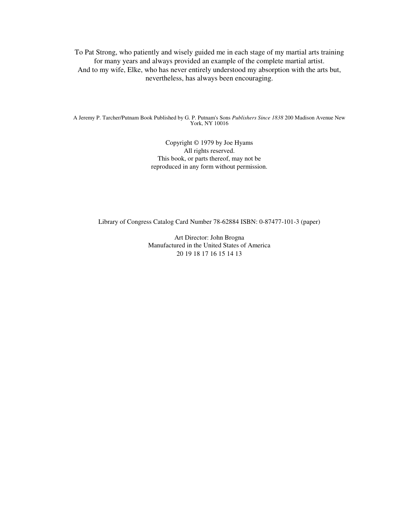To Pat Strong, who patiently and wisely guided me in each stage of my martial arts training for many years and always provided an example of the complete martial artist. And to my wife, Elke, who has never entirely understood my absorption with the arts but, nevertheless, has always been encouraging.

A Jeremy P. Tarcher/Putnam Book Published by G. P. Putnam's Sons *Publishers Since 1838* 200 Madison Avenue New York, NY 10016

> Copyright © 1979 by Joe Hyams All rights reserved. This book, or parts thereof, may not be reproduced in any form without permission.

Library of Congress Catalog Card Number 78-62884 ISBN: 0-87477-101-3 (paper)

Art Director: John Brogna Manufactured in the United States of America 20 19 18 17 16 15 14 13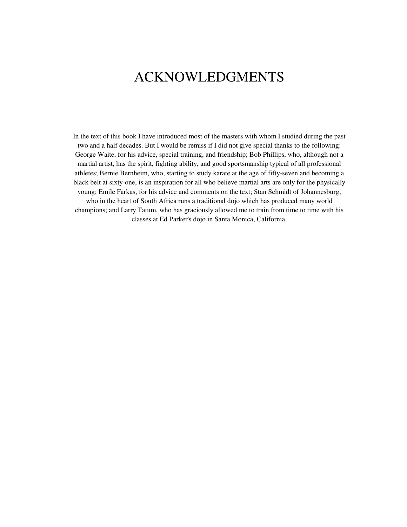# ACKNOWLEDGMENTS

In the text of this book I have introduced most of the masters with whom I studied during the past two and a half decades. But I would be remiss if I did not give special thanks to the following: George Waite, for his advice, special training, and friendship; Bob Phillips, who, although not a martial artist, has the spirit, fighting ability, and good sportsmanship typical of all professional athletes; Bernie Bernheim, who, starting to study karate at the age of fifty-seven and becoming a black belt at sixty-one, is an inspiration for all who believe martial arts are only for the physically young; Emile Farkas, for his advice and comments on the text; Stan Schmidt of Johannesburg, who in the heart of South Africa runs a traditional dojo which has produced many world champions; and Larry Tatum, who has graciously allowed me to train from time to time with his classes at Ed Parker's dojo in Santa Monica, California.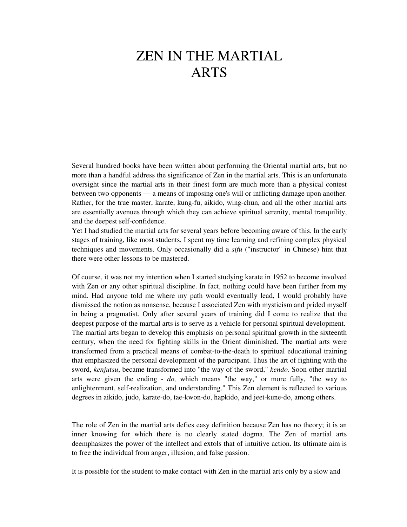### ZEN IN THE MARTIAL ARTS

Several hundred books have been written about performing the Oriental martial arts, but no more than a handful address the significance of Zen in the martial arts. This is an unfortunate oversight since the martial arts in their finest form are much more than a physical contest between two opponents — a means of imposing one's will or inflicting damage upon another. Rather, for the true master, karate, kung-fu, aikido, wing-chun, and all the other martial arts are essentially avenues through which they can achieve spiritual serenity, mental tranquility, and the deepest self-confidence.

Yet I had studied the martial arts for several years before becoming aware of this. In the early stages of training, like most students, I spent my time learning and refining complex physical techniques and movements. Only occasionally did a *sifu* ("instructor" in Chinese) hint that there were other lessons to be mastered.

Of course, it was not my intention when I started studying karate in 1952 to become involved with Zen or any other spiritual discipline. In fact, nothing could have been further from my mind. Had anyone told me where my path would eventually lead, I would probably have dismissed the notion as nonsense, because I associated Zen with mysticism and prided myself in being a pragmatist. Only after several years of training did I come to realize that the deepest purpose of the martial arts is to serve as a vehicle for personal spiritual development. The martial arts began to develop this emphasis on personal spiritual growth in the sixteenth century, when the need for fighting skills in the Orient diminished. The martial arts were transformed from a practical means of combat-to-the-death to spiritual educational training that emphasized the personal development of the participant. Thus the art of fighting with the sword, *kenjutsu*, became transformed into "the way of the sword," *kendo.* Soon other martial arts were given the ending - *do,* which means "the way," or more fully, "the way to enlightenment, self-realization, and understanding." This Zen element is reflected to various degrees in aikido, judo, karate-do, tae-kwon-do, hapkido, and jeet-kune-do, among others.

The role of Zen in the martial arts defies easy definition because Zen has no theory; it is an inner knowing for which there is no clearly stated dogma. The Zen of martial arts deemphasizes the power of the intellect and extols that of intuitive action. Its ultimate aim is to free the individual from anger, illusion, and false passion.

It is possible for the student to make contact with Zen in the martial arts only by a slow and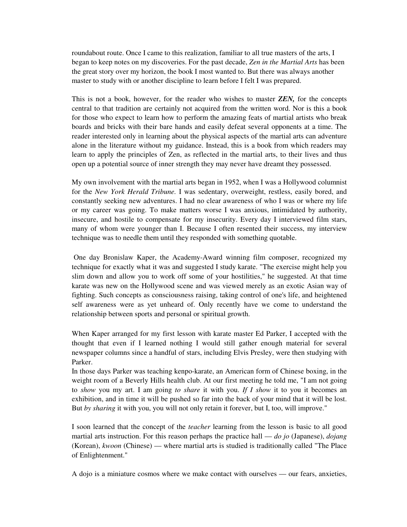roundabout route. Once I came to this realization, familiar to all true masters of the arts, I began to keep notes on my discoveries. For the past decade, *Zen in the Martial Arts* has been the great story over my horizon, the book I most wanted to. But there was always another master to study with or another discipline to learn before I felt I was prepared.

This is not a book, however, for the reader who wishes to master *ZEN,* for the concepts central to that tradition are certainly not acquired from the written word. Nor is this a book for those who expect to learn how to perform the amazing feats of martial artists who break boards and bricks with their bare hands and easily defeat several opponents at a time. The reader interested only in learning about the physical aspects of the martial arts can adventure alone in the literature without my guidance. Instead, this is a book from which readers may learn to apply the principles of Zen, as reflected in the martial arts, to their lives and thus open up a potential source of inner strength they may never have dreamt they possessed.

My own involvement with the martial arts began in 1952, when I was a Hollywood columnist for the *New York Herald Tribune.* I was sedentary, overweight, restless, easily bored, and constantly seeking new adventures. I had no clear awareness of who I was or where my life or my career was going. To make matters worse I was anxious, intimidated by authority, insecure, and hostile to compensate for my insecurity. Every day I interviewed film stars, many of whom were younger than I. Because I often resented their success, my interview technique was to needle them until they responded with something quotable.

One day Bronislaw Kaper, the Academy-Award winning film composer, recognized my technique for exactly what it was and suggested I study karate. "The exercise might help you slim down and allow you to work off some of your hostilities," he suggested. At that time karate was new on the Hollywood scene and was viewed merely as an exotic Asian way of fighting. Such concepts as consciousness raising, taking control of one's life, and heightened self awareness were as yet unheard of. Only recently have we come to understand the relationship between sports and personal or spiritual growth.

When Kaper arranged for my first lesson with karate master Ed Parker, I accepted with the thought that even if I learned nothing I would still gather enough material for several newspaper columns since a handful of stars, including Elvis Presley, were then studying with Parker.

In those days Parker was teaching kenpo-karate, an American form of Chinese boxing, in the weight room of a Beverly Hills health club. At our first meeting he told me, "I am not going to *show* you my art. I am going *to share* it with you. *If I show* it to you it becomes an exhibition, and in time it will be pushed so far into the back of your mind that it will be lost. But *by sharing* it with you, you will not only retain it forever, but I, too, will improve."

I soon learned that the concept of the *teacher* learning from the lesson is basic to all good martial arts instruction. For this reason perhaps the practice hall — *do jo* (Japanese), *dojang*  (Korean), *kwoon* (Chinese) — where martial arts is studied is traditionally called "The Place of Enlightenment."

A dojo is a miniature cosmos where we make contact with ourselves — our fears, anxieties,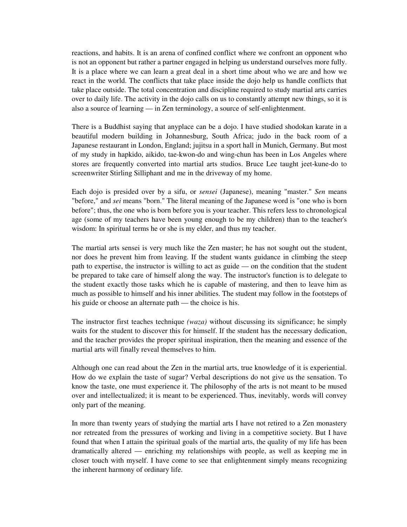reactions, and habits. It is an arena of confined conflict where we confront an opponent who is not an opponent but rather a partner engaged in helping us understand ourselves more fully. It is a place where we can learn a great deal in a short time about who we are and how we react in the world. The conflicts that take place inside the dojo help us handle conflicts that take place outside. The total concentration and discipline required to study martial arts carries over to daily life. The activity in the dojo calls on us to constantly attempt new things, so it is also a source of learning — in Zen terminology, a source of self-enlightenment.

There is a Buddhist saying that anyplace can be a dojo. I have studied shodokan karate in a beautiful modern building in Johannesburg, South Africa; judo in the back room of a Japanese restaurant in London, England; jujitsu in a sport hall in Munich, Germany. But most of my study in hapkido, aikido, tae-kwon-do and wing-chun has been in Los Angeles where stores are frequently converted into martial arts studios. Bruce Lee taught jeet-kune-do to screenwriter Stirling Silliphant and me in the driveway of my home.

Each dojo is presided over by a sifu, or *sensei* (Japanese), meaning "master." *Sen* means "before," and *sei* means "born." The literal meaning of the Japanese word is "one who is born before"; thus, the one who is born before you is your teacher. This refers less to chronological age (some of my teachers have been young enough to be my children) than to the teacher's wisdom: In spiritual terms he or she is my elder, and thus my teacher.

The martial arts sensei is very much like the Zen master; he has not sought out the student, nor does he prevent him from leaving. If the student wants guidance in climbing the steep path to expertise, the instructor is willing to act as guide — on the condition that the student be prepared to take care of himself along the way. The instructor's function is to delegate to the student exactly those tasks which he is capable of mastering, and then to leave him as much as possible to himself and his inner abilities. The student may follow in the footsteps of his guide or choose an alternate path — the choice is his.

The instructor first teaches technique *(waza)* without discussing its significance; he simply waits for the student to discover this for himself. If the student has the necessary dedication, and the teacher provides the proper spiritual inspiration, then the meaning and essence of the martial arts will finally reveal themselves to him.

Although one can read about the Zen in the martial arts, true knowledge of it is experiential. How do we explain the taste of sugar? Verbal descriptions do not give us the sensation. To know the taste, one must experience it. The philosophy of the arts is not meant to be mused over and intellectualized; it is meant to be experienced. Thus, inevitably, words will convey only part of the meaning.

In more than twenty years of studying the martial arts I have not retired to a Zen monastery nor retreated from the pressures of working and living in a competitive society. But I have found that when I attain the spiritual goals of the martial arts, the quality of my life has been dramatically altered — enriching my relationships with people, as well as keeping me in closer touch with myself. I have come to see that enlightenment simply means recognizing the inherent harmony of ordinary life.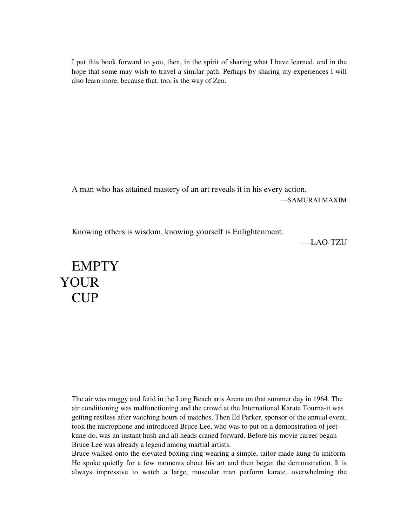I put this book forward to you, then, in the spirit of sharing what I have learned, and in the hope that some may wish to travel a similar path. Perhaps by sharing my experiences I will also learn more, because that, too, is the way of Zen.

A man who has attained mastery of an art reveals it in his every action.

—SAMURAI MAXIM

Knowing others is wisdom, knowing yourself is Enlightenment.

—LAO-TZU

## EMPTY YOUR **CUP**

The air was muggy and fetid in the Long Beach arts Arena on that summer day in 1964. The air conditioning was malfunctioning and the crowd at the International Karate Tourna-it was getting restless after watching hours of matches. Then Ed Parker, sponsor of the annual event, took the microphone and introduced Bruce Lee, who was to put on a demonstration of jeetkune-do. was an instant hush and all heads craned forward. Before his movie career began Bruce Lee was already a legend among martial artists.

Bruce walked onto the elevated boxing ring wearing a simple, tailor-made kung-fu uniform. He spoke quietly for a few moments about his art and then began the demonstration. It is always impressive to watch a large, muscular man perform karate, overwhelming the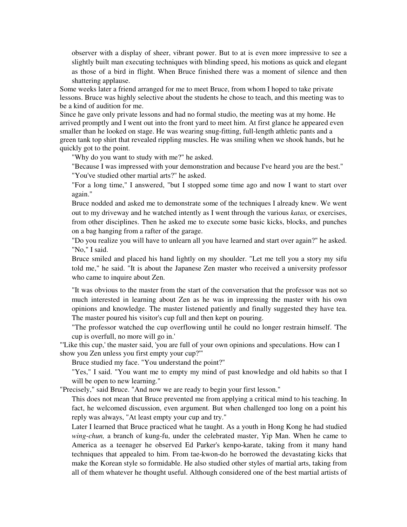observer with a display of sheer, vibrant power. But to at is even more impressive to see a slightly built man executing techniques with blinding speed, his motions as quick and elegant as those of a bird in flight. When Bruce finished there was a moment of silence and then shattering applause.

Some weeks later a friend arranged for me to meet Bruce, from whom I hoped to take private lessons. Bruce was highly selective about the students he chose to teach, and this meeting was to be a kind of audition for me.

Since he gave only private lessons and had no formal studio, the meeting was at my home. He arrived promptly and I went out into the front yard to meet him. At first glance he appeared even smaller than he looked on stage. He was wearing snug-fitting, full-length athletic pants and a green tank top shirt that revealed rippling muscles. He was smiling when we shook hands, but he quickly got to the point.

"Why do you want to study with me?" he asked.

"Because I was impressed with your demonstration and because I've heard you are the best." "You've studied other martial arts?" he asked.

"For a long time," I answered, "but I stopped some time ago and now I want to start over again."

Bruce nodded and asked me to demonstrate some of the techniques I already knew. We went out to my driveway and he watched intently as I went through the various *katas,* or exercises, from other disciplines. Then he asked me to execute some basic kicks, blocks, and punches on a bag hanging from a rafter of the garage.

"Do you realize you will have to unlearn all you have learned and start over again?" he asked. "No," I said.

Bruce smiled and placed his hand lightly on my shoulder. "Let me tell you a story my sifu told me," he said. "It is about the Japanese Zen master who received a university professor who came to inquire about Zen.

"It was obvious to the master from the start of the conversation that the professor was not so much interested in learning about Zen as he was in impressing the master with his own opinions and knowledge. The master listened patiently and finally suggested they have tea. The master poured his visitor's cup full and then kept on pouring.

"The professor watched the cup overflowing until he could no longer restrain himself. 'The cup is overfull, no more will go in.'

"'Like this cup,' the master said, 'you are full of your own opinions and speculations. How can I show you Zen unless you first empty your cup?'"

Bruce studied my face. "You understand the point?"

"Yes," I said. "You want me to empty my mind of past knowledge and old habits so that I will be open to new learning."

"Precisely," said Bruce. "And now we are ready to begin your first lesson."

This does not mean that Bruce prevented me from applying a critical mind to his teaching. In fact, he welcomed discussion, even argument. But when challenged too long on a point his reply was always, "At least empty your cup and try."

Later I learned that Bruce practiced what he taught. As a youth in Hong Kong he had studied *wing-chun,* a branch of kung-fu, under the celebrated master, Yip Man. When he came to America as a teenager he observed Ed Parker's kenpo-karate, taking from it many hand techniques that appealed to him. From tae-kwon-do he borrowed the devastating kicks that make the Korean style so formidable. He also studied other styles of martial arts, taking from all of them whatever he thought useful. Although considered one of the best martial artists of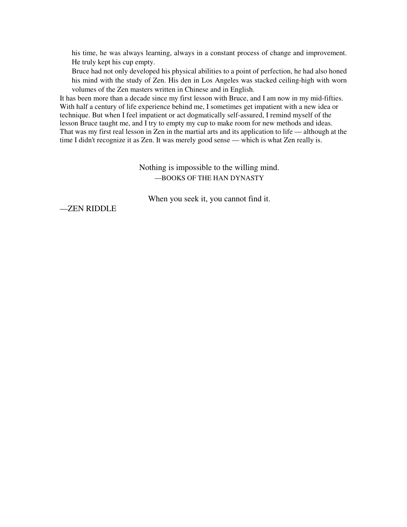his time, he was always learning, always in a constant process of change and improvement. He truly kept his cup empty.

Bruce had not only developed his physical abilities to a point of perfection, he had also honed his mind with the study of Zen. His den in Los Angeles was stacked ceiling-high with worn volumes of the Zen masters written in Chinese and in English.

It has been more than a decade since my first lesson with Bruce, and I am now in my mid-fifties. With half a century of life experience behind me, I sometimes get impatient with a new idea or technique. But when I feel impatient or act dogmatically self-assured, I remind myself of the lesson Bruce taught me, and I try to empty my cup to make room for new methods and ideas. That was my first real lesson in Zen in the martial arts and its application to life — although at the time I didn't recognize it as Zen. It was merely good sense — which is what Zen really is.

> Nothing is impossible to the willing mind. —BOOKS OF THE HAN DYNASTY

When you seek it, you cannot find it.

—ZEN RIDDLE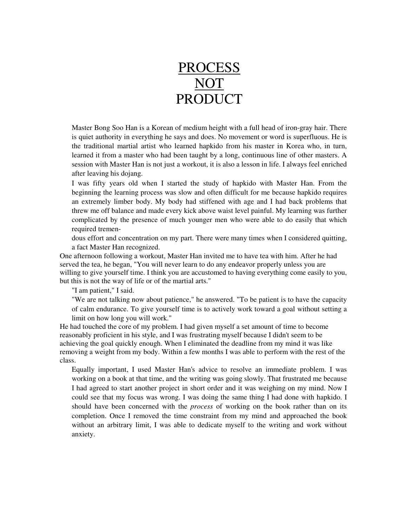## **PROCESS** NOT PRODUCT

Master Bong Soo Han is a Korean of medium height with a full head of iron-gray hair. There is quiet authority in everything he says and does. No movement or word is superfluous. He is the traditional martial artist who learned hapkido from his master in Korea who, in turn, learned it from a master who had been taught by a long, continuous line of other masters. A session with Master Han is not just a workout, it is also a lesson in life. I always feel enriched after leaving his dojang.

I was fifty years old when I started the study of hapkido with Master Han. From the beginning the learning process was slow and often difficult for me because hapkido requires an extremely limber body. My body had stiffened with age and I had back problems that threw me off balance and made every kick above waist level painful. My learning was further complicated by the presence of much younger men who were able to do easily that which required tremen-

dous effort and concentration on my part. There were many times when I considered quitting, a fact Master Han recognized.

One afternoon following a workout, Master Han invited me to have tea with him. After he had served the tea, he began, "You will never learn to do any endeavor properly unless you are willing to give yourself time. I think you are accustomed to having everything come easily to you, but this is not the way of life or of the martial arts."

"I am patient," I said.

"We are not talking now about patience," he answered. "To be patient is to have the capacity of calm endurance. To give yourself time is to actively work toward a goal without setting a limit on how long you will work."

He had touched the core of my problem. I had given myself a set amount of time to become reasonably proficient in his style, and I was frustrating myself because I didn't seem to be achieving the goal quickly enough. When I eliminated the deadline from my mind it was like removing a weight from my body. Within a few months I was able to perform with the rest of the class.

Equally important, I used Master Han's advice to resolve an immediate problem. I was working on a book at that time, and the writing was going slowly. That frustrated me because I had agreed to start another project in short order and it was weighing on my mind. Now I could see that my focus was wrong. I was doing the same thing I had done with hapkido. I should have been concerned with the *process* of working on the book rather than on its completion. Once I removed the time constraint from my mind and approached the book without an arbitrary limit, I was able to dedicate myself to the writing and work without anxiety.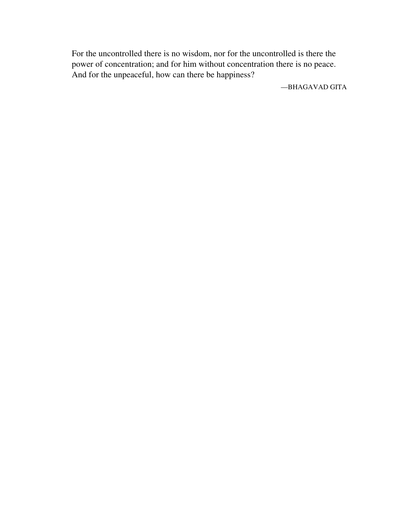For the uncontrolled there is no wisdom, nor for the uncontrolled is there the power of concentration; and for him without concentration there is no peace. And for the unpeaceful, how can there be happiness?

—BHAGAVAD GITA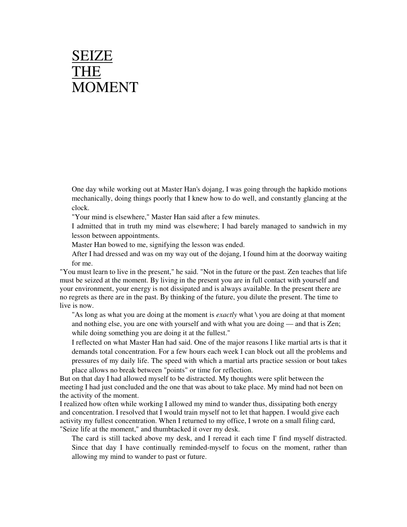# **SEIZE** THE MOMENT

One day while working out at Master Han's dojang, I was going through the hapkido motions mechanically, doing things poorly that I knew how to do well, and constantly glancing at the clock.

"Your mind is elsewhere," Master Han said after a few minutes.

I admitted that in truth my mind was elsewhere; I had barely managed to sandwich in my lesson between appointments.

Master Han bowed to me, signifying the lesson was ended.

After I had dressed and was on my way out of the dojang, I found him at the doorway waiting for me.

"You must learn to live in the present," he said. "Not in the future or the past. Zen teaches that life must be seized at the moment. By living in the present you are in full contact with yourself and your environment, your energy is not dissipated and is always available. In the present there are no regrets as there are in the past. By thinking of the future, you dilute the present. The time to live is now.

"As long as what you are doing at the moment is *exactly* what *\* you are doing at that moment and nothing else, you are one with yourself and with what you are doing — and that is Zen; while doing something you are doing it at the fullest."

I reflected on what Master Han had said. One of the major reasons I like martial arts is that it demands total concentration. For a few hours each week I can block out all the problems and pressures of my daily life. The speed with which a martial arts practice session or bout takes place allows no break between "points" or time for reflection.

But on that day I had allowed myself to be distracted. My thoughts were split between the meeting I had just concluded and the one that was about to take place. My mind had not been on the activity of the moment.

I realized how often while working I allowed my mind to wander thus, dissipating both energy and concentration. I resolved that I would train myself not to let that happen. I would give each activity my fullest concentration. When I returned to my office, I wrote on a small filing card, "Seize life at the moment," and thumbtacked it over my desk.

The card is still tacked above my desk, and I reread it each time I' find myself distracted. Since that day I have continually reminded-myself to focus on the moment, rather than allowing my mind to wander to past or future.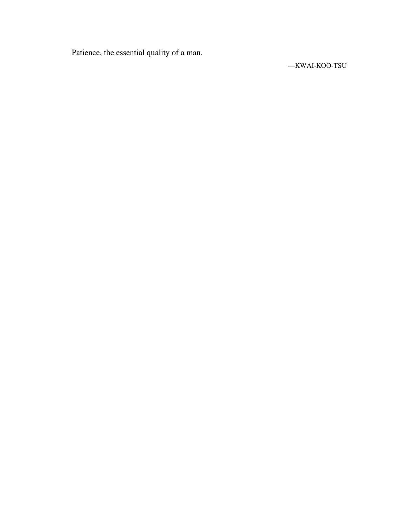Patience, the essential quality of a man.

—KWAI-KOO-TSU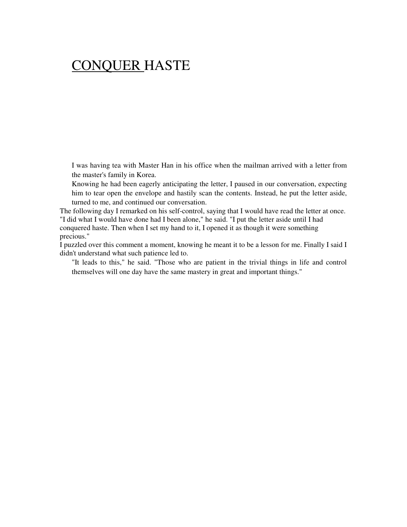# CONQUER HASTE

I was having tea with Master Han in his office when the mailman arrived with a letter from the master's family in Korea.

Knowing he had been eagerly anticipating the letter, I paused in our conversation, expecting him to tear open the envelope and hastily scan the contents. Instead, he put the letter aside, turned to me, and continued our conversation.

The following day I remarked on his self-control, saying that I would have read the letter at once. "I did what I would have done had I been alone," he said. "I put the letter aside until I had conquered haste. Then when I set my hand to it, I opened it as though it were something precious."

I puzzled over this comment a moment, knowing he meant it to be a lesson for me. Finally I said I didn't understand what such patience led to.

"It leads to this," he said. "Those who are patient in the trivial things in life and control themselves will one day have the same mastery in great and important things."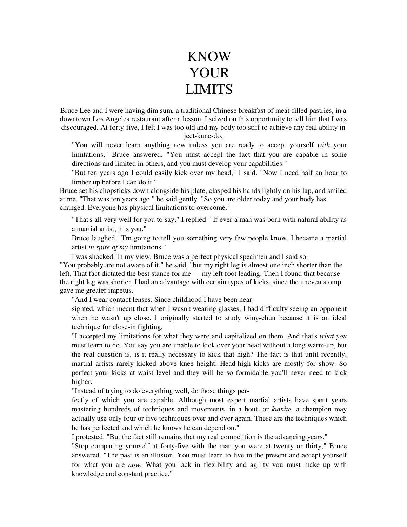# KNOW YOUR LIMITS

Bruce Lee and I were having dim sum*,* a traditional Chinese breakfast of meat-filled pastries, in a downtown Los Angeles restaurant after a lesson. I seized on this opportunity to tell him that I was discouraged. At forty-five, I felt I was too old and my body too stiff to achieve any real ability in jeet-kune-do.

"You will never learn anything new unless you are ready to accept yourself *with* your limitations," Bruce answered. "You must accept the fact that you are capable in some directions and limited in others, and you must develop your capabilities."

"But ten years ago I could easily kick over my head," I said. "Now I need half an hour to limber up before I can do it."

Bruce set his chopsticks down alongside his plate, clasped his hands lightly on his lap, and smiled at me. "That was ten years ago," he said gently. "So you are older today and your body has changed. Everyone has physical limitations to overcome."

"That's all very well for you to say," I replied. "If ever a man was born with natural ability as a martial artist, it is you."

Bruce laughed. "I'm going to tell you something very few people know. I became a martial artist *in spite of my* limitations."

I was shocked. In my view, Bruce was a perfect physical specimen and I said so.

"You probably are not aware of it," he said, "but my right leg is almost one inch shorter than the left. That fact dictated the best stance for me — my left foot leading. Then I found that because the right leg was shorter, I had an advantage with certain types of kicks, since the uneven stomp gave me greater impetus.

"And I wear contact lenses. Since childhood I have been near-

sighted, which meant that when I wasn't wearing glasses, I had difficulty seeing an opponent when he wasn't up close. I originally started to study wing-chun because it is an ideal technique for close-in fighting.

"I accepted my limitations for what they were and capitalized on them. And that's *what you*  must learn to do. You say you are unable to kick over your head without a long warm-up, but the real question is, is it really necessary to kick that high? The fact is that until recently, martial artists rarely kicked above knee height. Head-high kicks are mostly for show. So perfect your kicks at waist level and they will be so formidable you'll never need to kick higher.

"Instead of trying to do everything well, do those things per-

fectly of which you are capable. Although most expert martial artists have spent years mastering hundreds of techniques and movements, in a bout, or *kumite,* a champion may actually use only four or five techniques over and over again. These are the techniques which he has perfected and which he knows he can depend on."

I protested. "But the fact still remains that my real competition is the advancing years."

"Stop comparing yourself at forty-five with the man you were at twenty or thirty," Bruce answered. "The past is an illusion. You must learn to live in the present and accept yourself for what you are *now.* What you lack in flexibility and agility you must make up with knowledge and constant practice."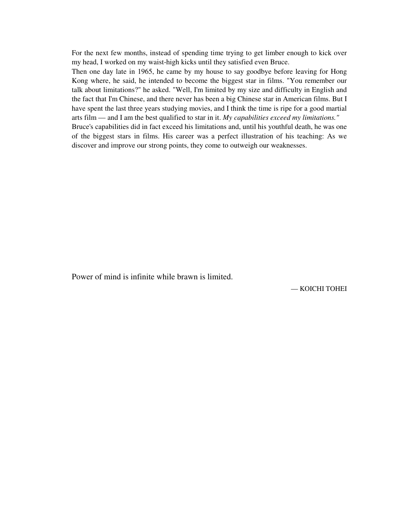For the next few months, instead of spending time trying to get limber enough to kick over my head, I worked on my waist-high kicks until they satisfied even Bruce.

Then one day late in 1965, he came by my house to say goodbye before leaving for Hong Kong where, he said, he intended to become the biggest star in films. "You remember our talk about limitations?" he asked. "Well, I'm limited by my size and difficulty in English and the fact that I'm Chinese, and there never has been a big Chinese star in American films. But I have spent the last three years studying movies, and I think the time is ripe for a good martial arts film — and I am the best qualified to star in it. *My capabilities exceed my limitations."*

Bruce's capabilities did in fact exceed his limitations and, until his youthful death, he was one of the biggest stars in films. His career was a perfect illustration of his teaching: As we discover and improve our strong points, they come to outweigh our weaknesses.

Power of mind is infinite while brawn is limited.

— KOICHI TOHEI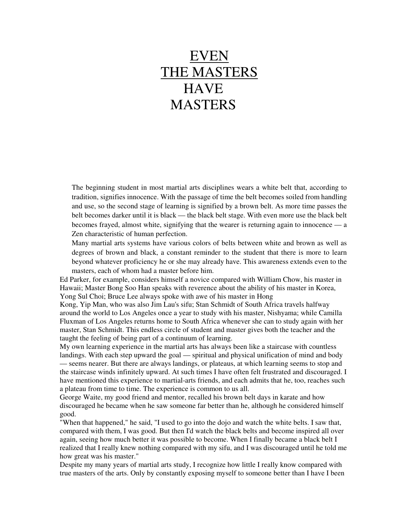# EVEN THE MASTERS **HAVE** MASTERS

The beginning student in most martial arts disciplines wears a white belt that, according to tradition, signifies innocence. With the passage of time the belt becomes soiled from handling and use, so the second stage of learning is signified by a brown belt. As more time passes the belt becomes darker until it is black — the black belt stage. With even more use the black belt becomes frayed, almost white, signifying that the wearer is returning again to innocence — a Zen characteristic of human perfection.

Many martial arts systems have various colors of belts between white and brown as well as degrees of brown and black, a constant reminder to the student that there is more to learn beyond whatever proficiency he or she may already have. This awareness extends even to the masters, each of whom had a master before him.

Ed Parker, for example, considers himself a novice compared with William Chow, his master in Hawaii; Master Bong Soo Han speaks with reverence about the ability of his master in Korea, Yong Sul Choi; Bruce Lee always spoke with awe of his master in Hong

Kong, Yip Man, who was also Jim Lau's sifu; Stan Schmidt of South Africa travels halfway around the world to Los Angeles once a year to study with his master, Nishyama; while Camilla Fluxman of Los Angeles returns home to South Africa whenever she can to study again with her master, Stan Schmidt. This endless circle of student and master gives both the teacher and the taught the feeling of being part of a continuum of learning.

My own learning experience in the martial arts has always been like a staircase with countless landings. With each step upward the goal — spiritual and physical unification of mind and body — seems nearer. But there are always landings, or plateaus, at which learning seems to stop and the staircase winds infinitely upward. At such times I have often felt frustrated and discouraged. I have mentioned this experience to martial-arts friends, and each admits that he, too, reaches such a plateau from time to time. The experience is common to us all.

George Waite, my good friend and mentor, recalled his brown belt days in karate and how discouraged he became when he saw someone far better than he, although he considered himself good.

"When that happened," he said, "I used to go into the dojo and watch the white belts. I saw that, compared with them, I was good. But then I'd watch the black belts and become inspired all over again, seeing how much better it was possible to become. When I finally became a black belt I realized that I really knew nothing compared with my sifu, and I was discouraged until he told me how great was his master."

Despite my many years of martial arts study, I recognize how little I really know compared with true masters of the arts. Only by constantly exposing myself to someone better than I have I been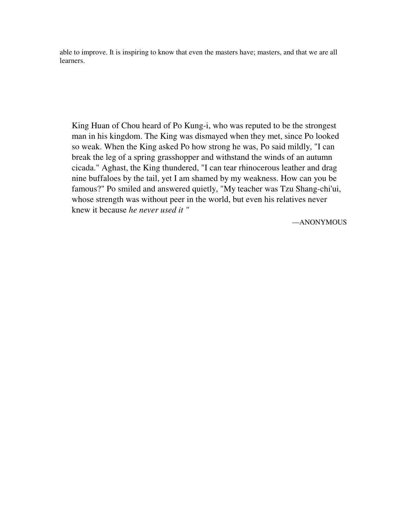able to improve. It is inspiring to know that even the masters have; masters, and that we are all learners.

King Huan of Chou heard of Po Kung-i, who was reputed to be the strongest man in his kingdom. The King was dismayed when they met, since Po looked so weak. When the King asked Po how strong he was, Po said mildly, "I can break the leg of a spring grasshopper and withstand the winds of an autumn cicada." Aghast, the King thundered, "I can tear rhinocerous leather and drag nine buffaloes by the tail, yet I am shamed by my weakness. How can you be famous?" Po smiled and answered quietly, "My teacher was Tzu Shang-chi'ui, whose strength was without peer in the world, but even his relatives never knew it because *he never used it "*

—ANONYMOUS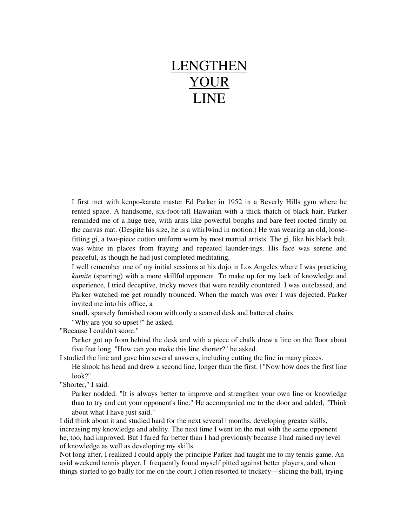# LENGTHEN YOUR LINE

I first met with kenpo-karate master Ed Parker in 1952 in a Beverly Hills gym where he rented space. A handsome, six-foot-tall Hawaiian with a thick thatch of black hair, Parker reminded me of a huge tree, with arms like powerful boughs and bare feet rooted firmly on the canvas mat. (Despite his size, he is a whirlwind in motion.) He was wearing an old, loosefitting gi, a two-piece cotton uniform worn by most martial artists. The gi, like his black belt, was white in places from fraying and repeated launder-ings. His face was serene and peaceful, as though he had just completed meditating.

I well remember one of my initial sessions at his dojo in Los Angeles where I was practicing *kumite* (sparring) with a more skillful opponent. To make up for my lack of knowledge and experience, I tried deceptive, tricky moves that were readily countered. I was outclassed, and Parker watched me get roundly trounced. When the match was over I was dejected. Parker invited me into his office, a

small, sparsely furnished room with only a scarred desk and battered chairs.

"Why are you so upset?" he asked.

"Because I couldn't score."

Parker got up from behind the desk and with a piece of chalk drew a line on the floor about five feet long. "How can you make this line shorter?" he asked.

I studied the line and gave him several answers, including cutting the line in many pieces.

He shook his head and drew a second line, longer than the first. | "Now how does the first line look?"

"Shorter," I said.

Parker nodded. "It is always better to improve and strengthen your own line or knowledge than to try and cut your opponent's line." He accompanied me to the door and added, "Think about what I have just said."

I did think about it and studied hard for the next several  $\vert$  months, developing greater skills, increasing my knowledge and ability. The next time I went on the mat with the same opponent he, too, had improved. But I fared far better than I had previously because I had raised my level of knowledge as well as developing my skills.

Not long after, I realized I could apply the principle Parker had taught me to my tennis game. An avid weekend tennis player, I frequently found myself pitted against better players, and when things started to go badly for me on the court I often resorted to trickery—slicing the ball, trying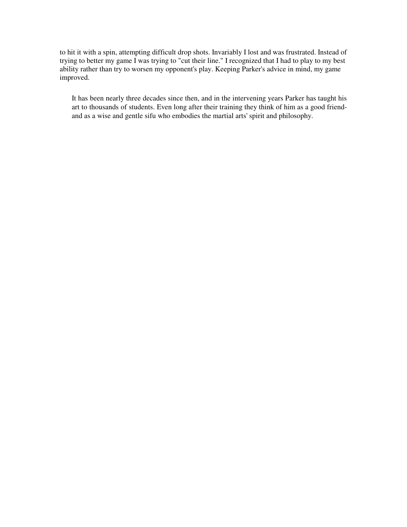to hit it with a spin, attempting difficult drop shots. Invariably I lost and was frustrated. Instead of trying to better my game I was trying to "cut their line." I recognized that I had to play to my best ability rather than try to worsen my opponent's play. Keeping Parker's advice in mind, my game improved.

It has been nearly three decades since then, and in the intervening years Parker has taught his art to thousands of students. Even long after their training they think of him as a good friendand as a wise and gentle sifu who embodies the martial arts' spirit and philosophy.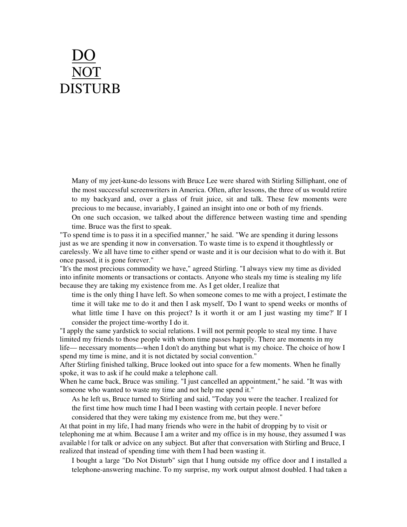# DO NOT **DISTURB**

Many of my jeet-kune-do lessons with Bruce Lee were shared with Stirling Silliphant, one of the most successful screenwriters in America. Often, after lessons, the three of us would retire to my backyard and, over a glass of fruit juice, sit and talk. These few moments were precious to me because, invariably, I gained an insight into one or both of my friends. On one such occasion, we talked about the difference between wasting time and spending

time. Bruce was the first to speak.

"To spend time is to pass it in a specified manner," he said. "We are spending it during lessons just as we are spending it now in conversation. To waste time is to expend it thoughtlessly or carelessly. We all have time to either spend or waste and it is our decision what to do with it. But once passed, it is gone forever."

"It's the most precious commodity we have," agreed Stirling. "I always view my time as divided into infinite moments or transactions or contacts. Anyone who steals my time is stealing my life because they are taking my existence from me. As I get older, I realize that

time is the only thing I have left. So when someone comes to me with a project, I estimate the time it will take me to do it and then I ask myself, 'Do I want to spend weeks or months of what little time I have on this project? Is it worth it or am I just wasting my time?' If I consider the project time-worthy I do it.

"I apply the same yardstick to social relations. I will not permit people to steal my time. I have limited my friends to those people with whom time passes happily. There are moments in my life— necessary moments—when I don't do anything but what is my choice. The choice of how I spend my time is mine, and it is not dictated by social convention."

After Stirling finished talking, Bruce looked out into space for a few moments. When he finally spoke, it was to ask if he could make a telephone call.

When he came back, Bruce was smiling. "I just cancelled an appointment," he said. "It was with someone who wanted to waste my time and not help me spend it."

As he left us, Bruce turned to Stirling and said, "Today you were the teacher. I realized for the first time how much time I had I been wasting with certain people. I never before considered that they were taking my existence from me, but they were."

At that point in my life, I had many friends who were in the habit of dropping by to visit or telephoning me at whim. Because I am a writer and my office is in my house, they assumed I was available | for talk or advice on any subject. But after that conversation with Stirling and Bruce, I realized that instead of spending time with them I had been wasting it.

I bought a large "Do Not Disturb" sign that I hung outside my office door and I installed a telephone-answering machine. To my surprise, my work output almost doubled. I had taken a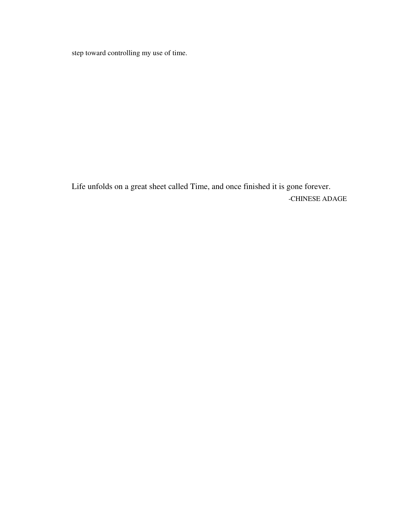step toward controlling my use of time.

Life unfolds on a great sheet called Time, and once finished it is gone forever. -CHINESE ADAGE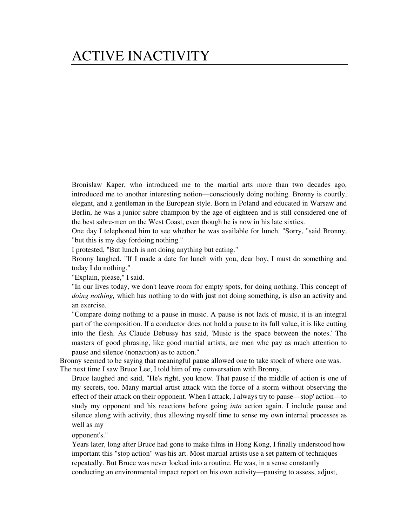# ACTIVE INACTIVITY

Bronislaw Kaper, who introduced me to the martial arts more than two decades ago, introduced me to another interesting notion—consciously doing nothing. Bronny is courtly, elegant, and a gentleman in the European style. Born in Poland and educated in Warsaw and Berlin, he was a junior sabre champion by the age of eighteen and is still considered one of the best sabre-men on the West Coast, even though he is now in his late sixties.

One day I telephoned him to see whether he was available for lunch. "Sorry, "said Bronny, "but this is my day fordoing nothing."

I protested, "But lunch is not doing anything but eating."

Bronny laughed. "If I made a date for lunch with you, dear boy, I must do something and today I do nothing."

"Explain, please," I said.

"In our lives today, we don't leave room for empty spots, for doing nothing. This concept of *doing nothing,* which has nothing to do with just not doing something, is also an activity and an exercise.

"Compare doing nothing to a pause in music. A pause is not lack of music, it is an integral part of the composition. If a conductor does not hold a pause to its full value, it is like cutting into the flesh. As Claude Debussy has said, 'Music is the space between the notes.' The masters of good phrasing, like good martial artists, are men whc pay as much attention to pause and silence (nonaction) as to action."

Bronny seemed to be saying that meaningful pause allowed one to take stock of where one was. The next time I saw Bruce Lee, I told him of my conversation with Bronny.

Bruce laughed and said, "He's right, you know. That pause if the middle of action is one of my secrets, too. Many martial artist attack with the force of a storm without observing the effect of their attack on their opponent. When I attack, I always try to pause—stop' action—to study my opponent and his reactions before going *into* action again. I include pause and silence along with activity, thus allowing myself time to sense my own internal processes as well as my

opponent's."

Years later, long after Bruce had gone to make films in Hong Kong, I finally understood how important this "stop action" was his art. Most martial artists use a set pattern of techniques repeatedly. But Bruce was never locked into a routine. He was, in a sense constantly conducting an environmental impact report on his own activity—pausing to assess, adjust,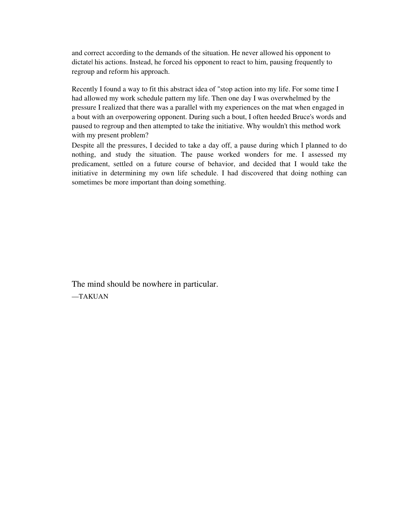and correct according to the demands of the situation. He never allowed his opponent to dictatel his actions. Instead, he forced his opponent to react to him, pausing frequently to regroup and reform his approach.

Recently I found a way to fit this abstract idea of "stop action into my life. For some time I had allowed my work schedule pattern my life. Then one day I was overwhelmed by the pressure I realized that there was a parallel with my experiences on the mat when engaged in a bout with an overpowering opponent. During such a bout, I often heeded Bruce's words and paused to regroup and then attempted to take the initiative. Why wouldn't this method work with my present problem?

Despite all the pressures, I decided to take a day off, a pause during which I planned to do nothing, and study the situation. The pause worked wonders for me. I assessed my predicament, settled on a future course of behavior, and decided that I would take the initiative in determining my own life schedule. I had discovered that doing nothing can sometimes be more important than doing something.

The mind should be nowhere in particular. —TAKUAN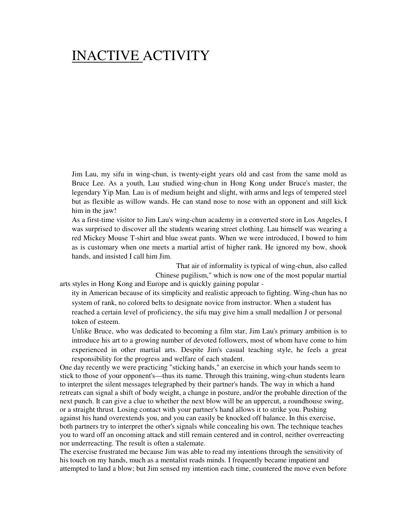# INACTIVE ACTIVITY

Jim Lau, my sifu in wing-chun, is twenty-eight years old and cast from the same mold as Bruce Lee. As a youth, Lau studied wing-chun in Hong Kong under Bruce's master, the legendary Yip Man. Lau is of medium height and slight, with arms and legs of tempered steel but as flexible as willow wands. He can stand nose to nose with an opponent and still kick him in the jaw!

As a first-time visitor to Jim Lau's wing-chun academy in a converted store in Los Angeles, I was surprised to discover all the students wearing street clothing. Lau himself was wearing a red Mickey Mouse T-shirt and blue sweat pants. When we were introduced, I bowed to him as is customary when one meets a martial artist of higher rank. He ignored my bow, shook hands, and insisted I call him Jim.

That air of informality is typical of wing-chun, also called Chinese pugilism," which is now one of the most popular martial arts styles in Hong Kong and Europe and is quickly gaining popular -

ity in American because of its simplicity and realistic approach to fighting. Wing-chun has no system of rank, no colored belts to designate novice from instructor. When a student has reached a certain level of proficiency, the sifu may give him a small medallion J or personal token of esteem.

Unlike Bruce, who was dedicated to becoming a film star, Jim Lau's primary ambition is to introduce his art to a growing number of devoted followers, most of whom have come to him experienced in other martial arts. Despite Jim's casual teaching style, he feels a great responsibility for the progress and welfare of each student.

One day recently we were practicing "sticking hands," an exercise in which your hands seem to stick to those of your opponent's—thus its name. Through this training, wing-chun students learn to interpret the silent messages telegraphed by their partner's hands. The way in which a hand retreats can signal a shift of body weight, a change in posture, and/or the probable direction of the next punch. It can give a clue to whether the next blow will be an uppercut, a roundhouse swing, or a straight thrust. Losing contact with your partner's hand allows it to strike you. Pushing against his hand overextends you, and you can easily be knocked off balance. In this exercise, both partners try to interpret the other's signals while concealing his own. The technique teaches you to ward off an oncoming attack and still remain centered and in control, neither overreacting nor underreacting. The result is often a stalemate.

The exercise frustrated me because Jim was able to read my intentions through the sensitivity of his touch on my hands, much as a mentalist reads minds. I frequently became impatient and attempted to land a blow; but Jim sensed my intention each time, countered the move even before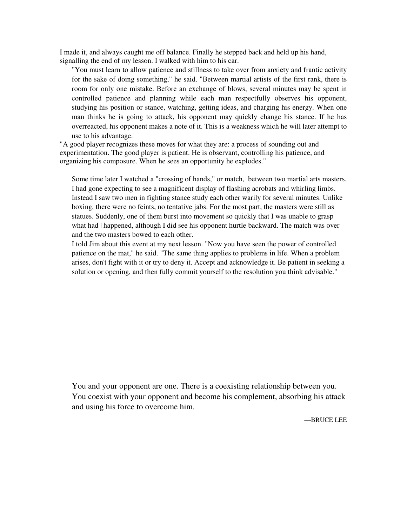I made it, and always caught me off balance. Finally he stepped back and held up his hand, signalling the end of my lesson. I walked with him to his car.

"You must learn to allow patience and stillness to take over from anxiety and frantic activity for the sake of doing something," he said. "Between martial artists of the first rank, there is room for only one mistake. Before an exchange of blows, several minutes may be spent in controlled patience and planning while each man respectfully observes his opponent, studying his position or stance, watching, getting ideas, and charging his energy. When one man thinks he is going to attack, his opponent may quickly change his stance. If he has overreacted, his opponent makes a note of it. This is a weakness which he will later attempt to use to his advantage.

"A good player recognizes these moves for what they are: a process of sounding out and experimentation. The good player is patient. He is observant, controlling his patience, and organizing his composure. When he sees an opportunity he explodes."

Some time later I watched a "crossing of hands," or match, between two martial arts masters. I had gone expecting to see a magnificent display of flashing acrobats and whirling limbs. Instead I saw two men in fighting stance study each other warily for several minutes. Unlike boxing, there were no feints, no tentative jabs. For the most part, the masters were still as statues. Suddenly, one of them burst into movement so quickly that I was unable to grasp what had | happened, although I did see his opponent hurtle backward. The match was over and the two masters bowed to each other.

I told Jim about this event at my next lesson. "Now you have seen the power of controlled patience on the mat," he said. "The same thing applies to problems in life. When a problem arises, don't fight with it or try to deny it. Accept and acknowledge it. Be patient in seeking a solution or opening, and then fully commit yourself to the resolution you think advisable."

You and your opponent are one. There is a coexisting relationship between you. You coexist with your opponent and become his complement, absorbing his attack and using his force to overcome him.

—BRUCE LEE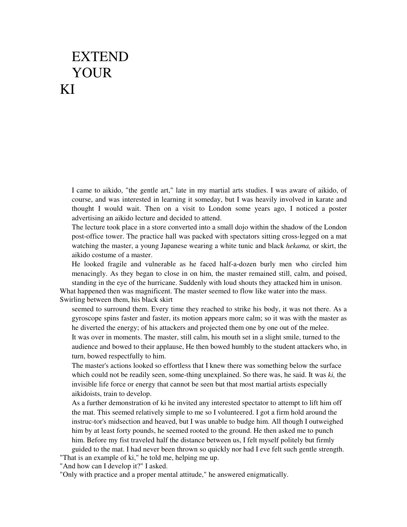# EXTEND **YOUR** KI

I came to aikido, "the gentle art," late in my martial arts studies. I was aware of aikido, of course, and was interested in learning it someday, but I was heavily involved in karate and thought I would wait. Then on a visit to London some years ago, I noticed a poster advertising an aikido lecture and decided to attend.

The lecture took place in a store converted into a small dojo within the shadow of the London post-office tower. The practice hall was packed with spectators sitting cross-legged on a mat watching the master, a young Japanese wearing a white tunic and black *hekama,* or skirt, the aikido costume of a master.

He looked fragile and vulnerable as he faced half-a-dozen burly men who circled him menacingly. As they began to close in on him, the master remained still, calm, and poised, standing in the eye of the hurricane. Suddenly with loud shouts they attacked him in unison.

What happened then was magnificent. The master seemed to flow like water into the mass. Swirling between them, his black skirt

seemed to surround them. Every time they reached to strike his body, it was not there. As a gyroscope spins faster and faster, its motion appears more calm; so it was with the master as he diverted the energy; of his attackers and projected them one by one out of the melee. It was over in moments. The master, still calm, his mouth set in a slight smile, turned to the audience and bowed to their applause, He then bowed humbly to the student attackers who, in turn, bowed respectfully to him.

The master's actions looked so effortless that I knew there was something below the surface which could not be readily seen, some-thing unexplained. So there was, he said. It was *ki*, the invisible life force or energy that cannot be seen but that most martial artists especially aikidoists, train to develop.

As a further demonstration of ki he invited any interested spectator to attempt to lift him off the mat. This seemed relatively simple to me so I volunteered. I got a firm hold around the instruc-tor's midsection and heaved, but I was unable to budge him. All though I outweighed him by at least forty pounds, he seemed rooted to the ground. He then asked me to punch him. Before my fist traveled half the distance between us, I felt myself politely but firmly guided to the mat. I had never been thrown so quickly nor had I eve felt such gentle strength.

"That is an example of ki," he told me, helping me up.

"And how can I develop it?" I asked.

"Only with practice and a proper mental attitude," he answered enigmatically.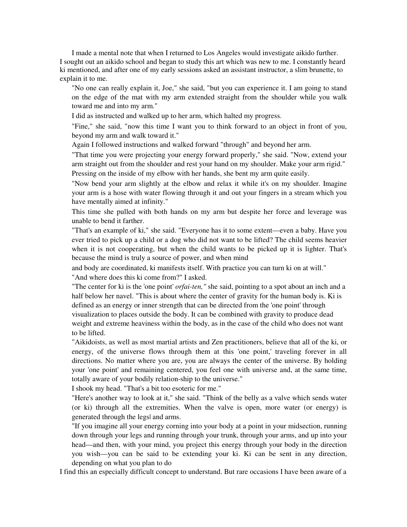I made a mental note that when I returned to Los Angeles would investigate aikido further. I sought out an aikido school and began to study this art which was new to me. I constantly heard ki mentioned, and after one of my early sessions asked an assistant instructor, a slim brunette, to explain it to me.

"No one can really explain it, Joe," she said, "but you can experience it. I am going to stand on the edge of the mat with my arm extended straight from the shoulder while you walk toward me and into my arm."

I did as instructed and walked up to her arm, which halted my progress.

"Fine," she said, "now this time I want you to think forward to an object in front of you, beyond my arm and walk toward it."

Again I followed instructions and walked forward "through" and beyond her arm.

"That time you were projecting your energy forward properly," she said. "Now, extend your arm straight out from the shoulder and rest your hand on my shoulder. Make your arm rigid." Pressing on the inside of my elbow with her hands, she bent my arm quite easily.

"Now bend your arm slightly at the elbow and relax it while it's on my shoulder. Imagine your arm is a hose with water flowing through it and out your fingers in a stream which you have mentally aimed at infinity."

This time she pulled with both hands on my arm but despite her force and leverage was unable to bend it farther.

"That's an example of ki," she said. "Everyone has it to some extent—even a baby. Have you ever tried to pick up a child or a dog who did not want to be lifted? The child seems heavier when it is not cooperating, but when the child wants to be picked up it is lighter. That's because the mind is truly a source of power, and when mind

and body are coordinated, ki manifests itself. With practice you can turn ki on at will."

"And where does this ki come from?" I asked.

"The center for ki is the 'one point' *orfai-ten,"* she said, pointing to a spot about an inch and a half below her navel. "This is about where the center of gravity for the human body is. Ki is defined as an energy or inner strength that can be directed from the 'one point' through visualization to places outside the body. It can be combined with gravity to produce dead weight and extreme heaviness within the body, as in the case of the child who does not want to be lifted.

"Aikidoists, as well as most martial artists and Zen practitioners, believe that all of the ki, or energy, of the universe flows through them at this 'one point,' traveling forever in all directions. No matter where you are, you are always the center of the universe. By holding your 'one point' and remaining centered, you feel one with universe and, at the same time, totally aware of your bodily relation-ship to the universe."

I shook my head. "That's a bit too esoteric for me."

"Here's another way to look at it," she said. "Think of the belly as a valve which sends water (or ki) through all the extremities. When the valve is open, more water (or energy) is generated through the legs| and arms.

"If you imagine all your energy corning into your body at a point in your midsection, running down through your legs and running through your trunk, through your arms, and up into your head—and then, with your mind, you project this energy through your body in the direction you wish—you can be said to be extending your ki. Ki can be sent in any direction, depending on what you plan to do

I find this an especially difficult concept to understand. But rare occasions I have been aware of a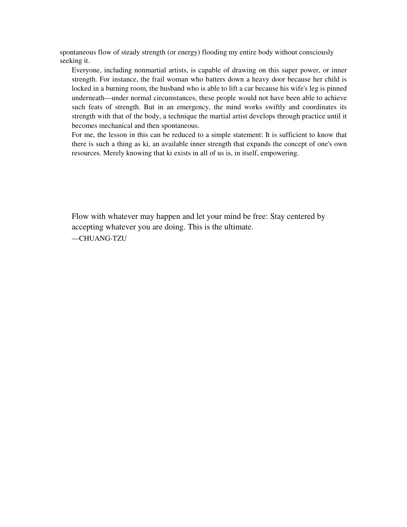spontaneous flow of steady strength (or energy) flooding my entire body without consciously seeking it.

Everyone, including nonmartial artists, is capable of drawing on this super power, or inner strength. For instance, the frail woman who batters down a heavy door because her child is locked in a burning room, the husband who is able to lift a car because his wife's leg is pinned underneath—under normal circumstances, these people would not have been able to achieve such feats of strength. But in an emergency, the mind works swiftly and coordinates its strength with that of the body, a technique the martial artist develops through practice until it becomes mechanical and then spontaneous.

For me, the lesson in this can be reduced to a simple statement: It is sufficient to know that there is such a thing as ki, an available inner strength that expands the concept of one's own resources. Merely knowing that ki exists in all of us is, in itself, empowering.

Flow with whatever may happen and let your mind be free: Stay centered by accepting whatever you are doing. This is the ultimate. —CHUANG-TZU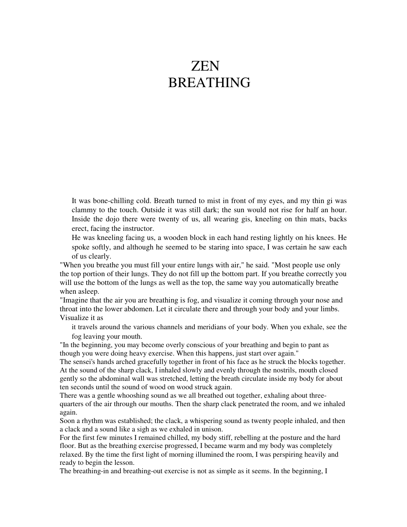## ZEN BREATHING

It was bone-chilling cold. Breath turned to mist in front of my eyes, and my thin gi was clammy to the touch. Outside it was still dark; the sun would not rise for half an hour. Inside the dojo there were twenty of us, all wearing gis, kneeling on thin mats, backs erect, facing the instructor.

He was kneeling facing us, a wooden block in each hand resting lightly on his knees. He spoke softly, and although he seemed to be staring into space, I was certain he saw each of us clearly.

"When you breathe you must fill your entire lungs with air," he said. "Most people use only the top portion of their lungs. They do not fill up the bottom part. If you breathe correctly you will use the bottom of the lungs as well as the top, the same way you automatically breathe when asleep.

"Imagine that the air you are breathing is fog, and visualize it coming through your nose and throat into the lower abdomen. Let it circulate there and through your body and your limbs. Visualize it as

it travels around the various channels and meridians of your body. When you exhale, see the fog leaving your mouth.

"In the beginning, you may become overly conscious of your breathing and begin to pant as though you were doing heavy exercise. When this happens, just start over again."

The sensei's hands arched gracefully together in front of his face as he struck the blocks together. At the sound of the sharp clack, I inhaled slowly and evenly through the nostrils, mouth closed gently so the abdominal wall was stretched, letting the breath circulate inside my body for about ten seconds until the sound of wood on wood struck again.

There was a gentle whooshing sound as we all breathed out together, exhaling about threequarters of the air through our mouths. Then the sharp clack penetrated the room, and we inhaled again.

Soon a rhythm was established; the clack, a whispering sound as twenty people inhaled, and then a clack and a sound like a sigh as we exhaled in unison.

For the first few minutes I remained chilled, my body stiff, rebelling at the posture and the hard floor. But as the breathing exercise progressed, I became warm and my body was completely relaxed. By the time the first light of morning illumined the room, I was perspiring heavily and ready to begin the lesson.

The breathing-in and breathing-out exercise is not as simple as it seems. In the beginning, I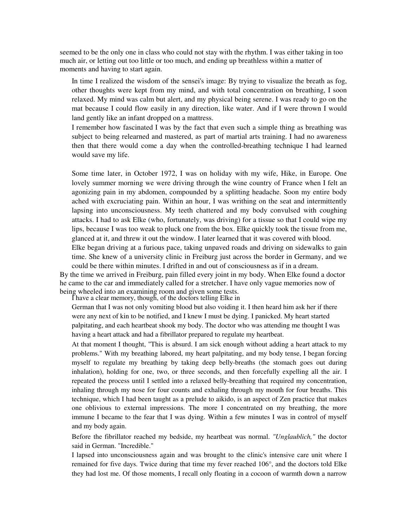seemed to be the only one in class who could not stay with the rhythm. I was either taking in too much air, or letting out too little or too much, and ending up breathless within a matter of moments and having to start again.

In time I realized the wisdom of the sensei's image: By trying to visualize the breath as fog, other thoughts were kept from my mind, and with total concentration on breathing, I soon relaxed. My mind was calm but alert, and my physical being serene. I was ready to go on the mat because I could flow easily in any direction, like water. And if I were thrown I would land gently like an infant dropped on a mattress.

I remember how fascinated I was by the fact that even such a simple thing as breathing was subject to being relearned and mastered, as part of martial arts training. I had no awareness then that there would come a day when the controlled-breathing technique I had learned would save my life.

Some time later, in October 1972, I was on holiday with my wife, Hike, in Europe. One lovely summer morning we were driving through the wine country of France when I felt an agonizing pain in my abdomen, compounded by a splitting headache. Soon my entire body ached with excruciating pain. Within an hour, I was writhing on the seat and intermittently lapsing into unconsciousness. My teeth chattered and my body convulsed with coughing attacks. I had to ask Elke (who, fortunately, was driving) for a tissue so that I could wipe my lips, because I was too weak to pluck one from the box. Elke quickly took the tissue from me, glanced at it, and threw it out the window. I later learned that it was covered with blood.

Elke began driving at a furious pace, taking unpaved roads and driving on sidewalks to gain time. She knew of a university clinic in Freiburg just across the border in Germany, and we could be there within minutes. I drifted in and out of consciousness as if in a dream.

By the time we arrived in Freiburg, pain filled every joint in my body. When Elke found a doctor he came to the car and immediately called for a stretcher. I have only vague memories now of being wheeled into an examining room and given some tests.

I have a clear memory, though, of the doctors telling Elke in

German that I was not only vomiting blood but also voiding it. I then heard him ask her if there were any next of kin to be notified, and I knew I must be dying. I panicked. My heart started palpitating, and each heartbeat shook my body. The doctor who was attending me thought I was having a heart attack and had a fibrillator prepared to regulate my heartbeat.

At that moment I thought, "This is absurd. I am sick enough without adding a heart attack to my problems." With my breathing labored, my heart palpitating, and my body tense, I began forcing myself to regulate my breathing by taking deep belly-breaths (the stomach goes out during inhalation), holding for one, two, or three seconds, and then forcefully expelling all the air. I repeated the process until I settled into a relaxed belly-breathing that required my concentration, inhaling through my nose for four counts and exhaling through my mouth for four breaths. This technique, which I had been taught as a prelude to aikido, is an aspect of Zen practice that makes one oblivious to external impressions. The more I concentrated on my breathing, the more immune I became to the fear that I was dying. Within a few minutes I was in control of myself and my body again.

Before the fibrillator reached my bedside, my heartbeat was normal. *"Unglaublich,"* the doctor said in German. "Incredible."

I lapsed into unconsciousness again and was brought to the clinic's intensive care unit where I remained for five days. Twice during that time my fever reached 106°, and the doctors told Elke they had lost me. Of those moments, I recall only floating in a cocoon of warmth down a narrow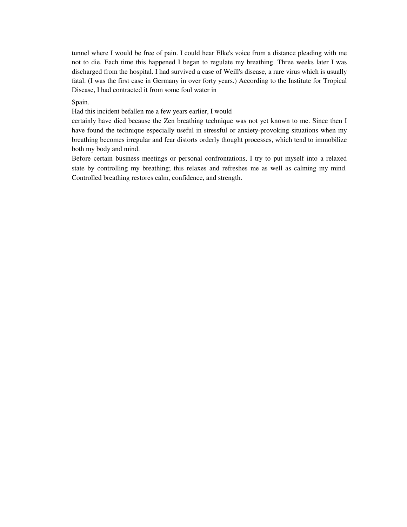tunnel where I would be free of pain. I could hear Elke's voice from a distance pleading with me not to die. Each time this happened I began to regulate my breathing. Three weeks later I was discharged from the hospital. I had survived a case of Weill's disease, a rare virus which is usually fatal. (I was the first case in Germany in over forty years.) According to the Institute for Tropical Disease, I had contracted it from some foul water in

Spain.

Had this incident befallen me a few years earlier, I would

certainly have died because the Zen breathing technique was not yet known to me. Since then I have found the technique especially useful in stressful or anxiety-provoking situations when my breathing becomes irregular and fear distorts orderly thought processes, which tend to immobilize both my body and mind.

Before certain business meetings or personal confrontations, I try to put myself into a relaxed state by controlling my breathing; this relaxes and refreshes me as well as calming my mind. Controlled breathing restores calm, confidence, and strength.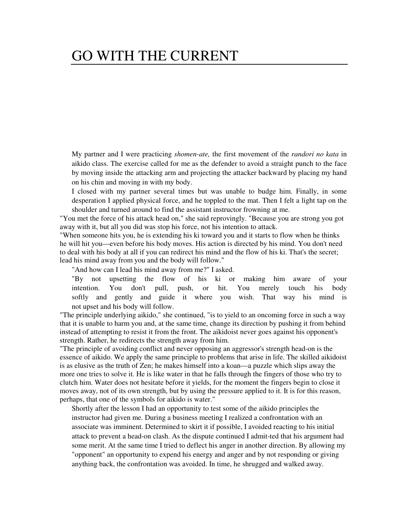# GO WITH THE CURRENT

My partner and I were practicing *shomen-ate,* the first movement of the *randori no kata* in aikido class. The exercise called for me as the defender to avoid a straight punch to the face by moving inside the attacking arm and projecting the attacker backward by placing my hand on his chin and moving in with my body.

I closed with my partner several times but was unable to budge him. Finally, in some desperation I applied physical force, and he toppled to the mat. Then I felt a light tap on the shoulder and turned around to find the assistant instructor frowning at me.

"You met the force of his attack head on," she said reprovingly. "Because you are strong you got away with it, but all you did was stop his force, not his intention to attack.

"When someone hits you, he is extending his ki toward you and it starts to flow when he thinks he will hit you—even before his body moves. His action is directed by his mind. You don't need to deal with his body at all if you can redirect his mind and the flow of his ki. That's the secret; lead his mind away from you and the body will follow."

"And how can I lead his mind away from me?" I asked.

"By not upsetting the flow of his ki or making him aware of your intention. You don't pull, push, or hit. You merely touch his body softly and gently and guide it where you wish. That way his mind is not upset and his body will follow.

"The principle underlying aikido," she continued, "is to yield to an oncoming force in such a way that it is unable to harm you and, at the same time, change its direction by pushing it from behind instead of attempting to resist it from the front. The aikidoist never goes against his opponent's strength. Rather, he redirects the strength away from him.

"The principle of avoiding conflict and never opposing an aggressor's strength head-on is the essence of aikido. We apply the same principle to problems that arise in life. The skilled aikidoist is as elusive as the truth of Zen; he makes himself into a koan—a puzzle which slips away the more one tries to solve it. He is like water in that he falls through the fingers of those who try to clutch him. Water does not hesitate before it yields, for the moment the fingers begin to close it moves away, not of its own strength, but by using the pressure applied to it. It is for this reason, perhaps, that one of the symbols for aikido is water."

Shortly after the lesson I had an opportunity to test some of the aikido principles the instructor had given me. During a business meeting I realized a confrontation with an associate was imminent. Determined to skirt it if possible, I avoided reacting to his initial attack to prevent a head-on clash. As the dispute continued I admit-ted that his argument had some merit. At the same time I tried to deflect his anger in another direction. By allowing my "opponent" an opportunity to expend his energy and anger and by not responding or giving anything back, the confrontation was avoided. In time, he shrugged and walked away.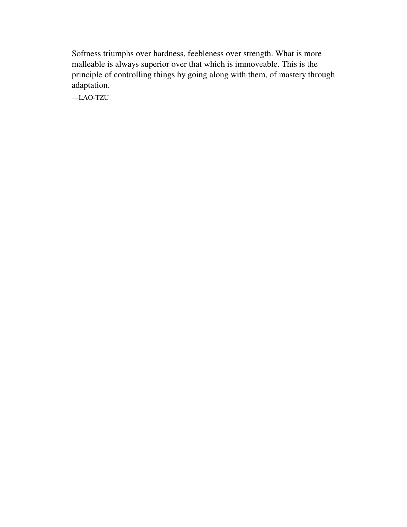Softness triumphs over hardness, feebleness over strength. What is more malleable is always superior over that which is immoveable. This is the principle of controlling things by going along with them, of mastery through adaptation.

—LAO-TZU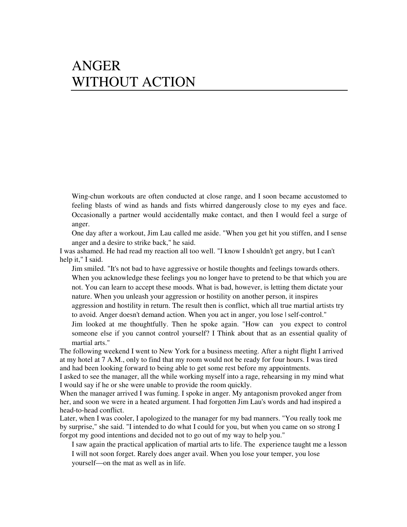# ANGER WITHOUT ACTION

Wing-chun workouts are often conducted at close range, and I soon became accustomed to feeling blasts of wind as hands and fists whirred dangerously close to my eyes and face. Occasionally a partner would accidentally make contact, and then I would feel a surge of anger.

One day after a workout, Jim Lau called me aside. "When you get hit you stiffen, and I sense anger and a desire to strike back," he said.

I was ashamed. He had read my reaction all too well. "I know I shouldn't get angry, but I can't help it," I said.

Jim smiled. "It's not bad to have aggressive or hostile thoughts and feelings towards others. When you acknowledge these feelings you no longer have to pretend to be that which you are not. You can learn to accept these moods. What is bad, however, is letting them dictate your nature. When you unleash your aggression or hostility on another person, it inspires aggression and hostility in return. The result then is conflict, which all true martial artists try to avoid. Anger doesn't demand action. When you act in anger, you lose | self-control."

Jim looked at me thoughtfully. Then he spoke again. "How can you expect to control someone else if you cannot control yourself? I Think about that as an essential quality of martial arts."

The following weekend I went to New York for a business meeting. After a night flight I arrived at my hotel at 7 A.M., only to find that my room would not be ready for four hours. I was tired and had been looking forward to being able to get some rest before my appointments.

I asked to see the manager, all the while working myself into a rage, rehearsing in my mind what I would say if he or she were unable to provide the room quickly.

When the manager arrived I was fuming. I spoke in anger. My antagonism provoked anger from her, and soon we were in a heated argument. I had forgotten Jim Lau's words and had inspired a head-to-head conflict.

Later, when I was cooler, I apologized to the manager for my bad manners. "You really took me by surprise," she said. "I intended to do what I could for you, but when you came on so strong I forgot my good intentions and decided not to go out of my way to help you."

I saw again the practical application of martial arts to life. The experience taught me a lesson I will not soon forget. Rarely does anger avail. When you lose your temper, you lose yourself—on the mat as well as in life.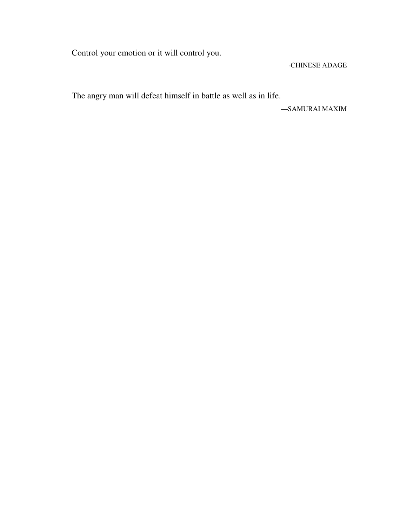Control your emotion or it will control you.

-CHINESE ADAGE

The angry man will defeat himself in battle as well as in life.

—SAMURAI MAXIM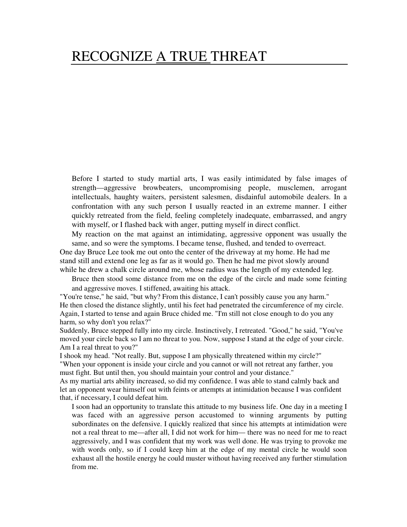#### RECOGNIZE A TRUE THREAT

Before I started to study martial arts, I was easily intimidated by false images of strength—aggressive browbeaters, uncompromising people, musclemen, arrogant intellectuals, haughty waiters, persistent salesmen, disdainful automobile dealers. In a confrontation with any such person I usually reacted in an extreme manner. I either quickly retreated from the field, feeling completely inadequate, embarrassed, and angry with myself, or I flashed back with anger, putting myself in direct conflict.

My reaction on the mat against an intimidating, aggressive opponent was usually the same, and so were the symptoms. I became tense, flushed, and tended to overreact. One day Bruce Lee took me out onto the center of the driveway at my home. He had me

stand still and extend one leg as far as it would go. Then he had me pivot slowly around while he drew a chalk circle around me, whose radius was the length of my extended leg.

Bruce then stood some distance from me on the edge of the circle and made some feinting and aggressive moves. I stiffened, awaiting his attack.

"You're tense," he said, "but why? From this distance, I can't possibly cause you any harm." He then closed the distance slightly, until his feet had penetrated the circumference of my circle. Again, I started to tense and again Bruce chided me. "I'm still not close enough to do you any harm, so why don't you relax?"

Suddenly, Bruce stepped fully into my circle. Instinctively, I retreated. "Good," he said, "You've moved your circle back so I am no threat to you. Now, suppose I stand at the edge of your circle. Am I a real threat to you?"

I shook my head. "Not really. But, suppose I am physically threatened within my circle?" "When your opponent is inside your circle and you cannot or will not retreat any farther, you must fight. But until then, you should maintain your control and your distance."

As my martial arts ability increased, so did my confidence. I was able to stand calmly back and let an opponent wear himself out with feints or attempts at intimidation because I was confident that, if necessary, I could defeat him.

I soon had an opportunity to translate this attitude to my business life. One day in a meeting I was faced with an aggressive person accustomed to winning arguments by putting subordinates on the defensive. I quickly realized that since his attempts at intimidation were not a real threat to me—after all, I did not work for him— there was no need for me to react aggressively, and I was confident that my work was well done. He was trying to provoke me with words only, so if I could keep him at the edge of my mental circle he would soon exhaust all the hostile energy he could muster without having received any further stimulation from me.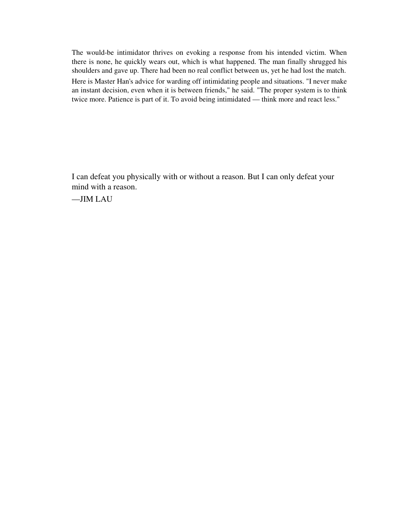The would-be intimidator thrives on evoking a response from his intended victim. When there is none, he quickly wears out, which is what happened. The man finally shrugged his shoulders and gave up. There had been no real conflict between us, yet he had lost the match.

Here is Master Han's advice for warding off intimidating people and situations. "I never make an instant decision, even when it is between friends," he said. "The proper system is to think twice more. Patience is part of it. To avoid being intimidated — think more and react less."

I can defeat you physically with or without a reason. But I can only defeat your mind with a reason.

—JIM LAU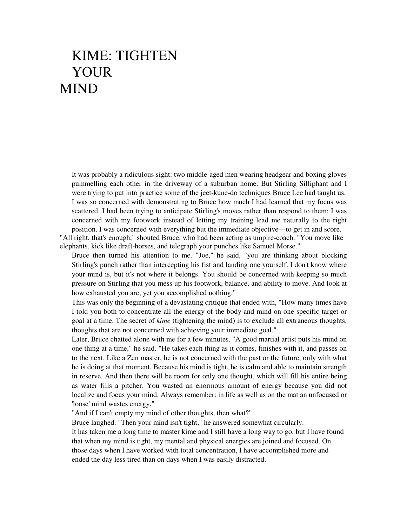# KIME: TIGHTEN YOUR MIND

It was probably a ridiculous sight: two middle-aged men wearing headgear and boxing gloves pummelling each other in the driveway of a suburban home. But Stirling Silliphant and I were trying to put into practice some of the jeet-kune-do techniques Bruce Lee had taught us. I was so concerned with demonstrating to Bruce how much I had learned that my focus was scattered. I had been trying to anticipate Stirling's moves rather than respond to them; I was concerned with my footwork instead of letting my training lead me naturally to the right position. I was concerned with everything but the immediate objective—to get in and score. "All right, that's enough," shouted Bruce, who had been acting as umpire-coach. "You move like elephants, kick like draft-horses, and telegraph your punches like Samuel Morse."

Bruce then turned his attention to me. "Joe," he said, "you are thinking about blocking Stirling's punch rather than intercepting his fist and landing one yourself. I don't know where your mind is, but it's not where it belongs. You should be concerned with keeping so much pressure on Stirling that you mess up his footwork, balance, and ability to move. And look at how exhausted you are, yet you accomplished nothing."

This was only the beginning of a devastating critique that ended with, "How many times have I told you both to concentrate all the energy of the body and mind on one specific target or goal at a time. The secret of *kime* (tightening the mind) is to exclude all extraneous thoughts, thoughts that are not concerned with achieving your immediate goal."

Later, Bruce chatted alone with me for a few minutes. "A good martial artist puts his mind on one thing at a time," he said. "He takes each thing as it comes, finishes with it, and passes on to the next. Like a Zen master, he is not concerned with the past or the future, only with what he is doing at that moment. Because his mind is tight, he is calm and able to maintain strength in reserve. And then there will be room for only one thought, which will fill his entire being as water fills a pitcher. You wasted an enormous amount of energy because you did not localize and focus your mind. Always remember: in life as well as on the mat an unfocused or 'loose' mind wastes energy."

"And if I can't empty my mind of other thoughts, then what?"

Bruce laughed. "Then your mind isn't tight," he answered somewhat circularly.

It has taken me a long time to master kime and I still have a long way to go, but I have found that when my mind is tight, my mental and physical energies are joined and focused. On those days when I have worked with total concentration, I have accomplished more and ended the day less tired than on days when I was easily distracted.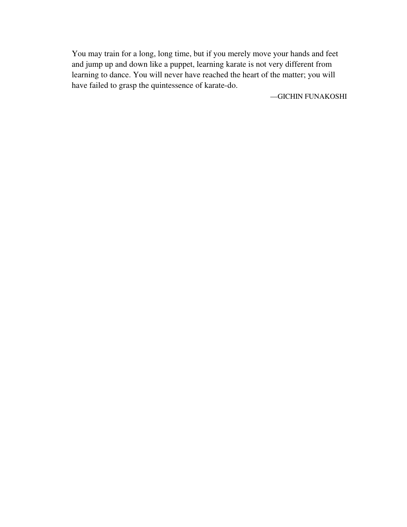You may train for a long, long time, but if you merely move your hands and feet and jump up and down like a puppet, learning karate is not very different from learning to dance. You will never have reached the heart of the matter; you will have failed to grasp the quintessence of karate-do.

—GICHIN FUNAKOSHI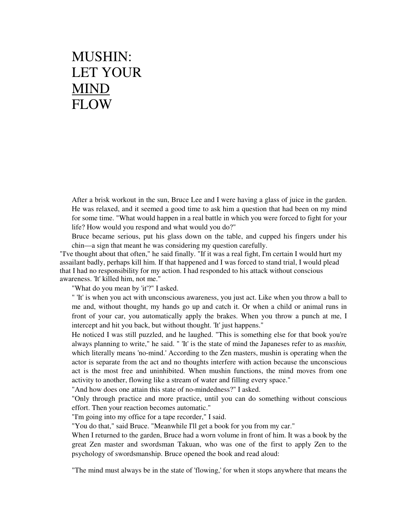# MUSHIN: LET YOUR MIND FLOW

After a brisk workout in the sun, Bruce Lee and I were having a glass of juice in the garden. He was relaxed, and it seemed a good time to ask him a question that had been on my mind for some time. "What would happen in a real battle in which you were forced to fight for your life? How would you respond and what would you do?"

Bruce became serious, put his glass down on the table, and cupped his fingers under his chin—a sign that meant he was considering my question carefully.

"I've thought about that often," he said finally. "If it was a real fight, I'm certain I would hurt my assailant badly, perhaps kill him. If that happened and I was forced to stand trial, I would plead that I had no responsibility for my action. I had responded to his attack without conscious awareness. 'It' killed him, not me."

"What do you mean by 'it'?" I asked.

" 'It' is when you act with unconscious awareness, you just act. Like when you throw a ball to me and, without thought, my hands go up and catch it. Or when a child or animal runs in front of your car, you automatically apply the brakes. When you throw a punch at me, I intercept and hit you back, but without thought. 'It' just happens."

He noticed I was still puzzled, and he laughed. "This is something else for that book you're always planning to write," he said. " 'It' is the state of mind the Japaneses refer to as *mushin,*  which literally means 'no-mind.' According to the Zen masters, mushin is operating when the actor is separate from the act and no thoughts interfere with action because the unconscious act is the most free and uninhibited. When mushin functions, the mind moves from one activity to another, flowing like a stream of water and filling every space."

"And how does one attain this state of no-mindedness?" I asked.

"Only through practice and more practice, until you can do something without conscious effort. Then your reaction becomes automatic."

"I'm going into my office for a tape recorder," I said.

"You do that," said Bruce. "Meanwhile I'll get a book for you from my car."

When I returned to the garden, Bruce had a worn volume in front of him. It was a book by the great Zen master and swordsman Takuan, who was one of the first to apply Zen to the psychology of swordsmanship. Bruce opened the book and read aloud:

"The mind must always be in the state of 'flowing,' for when it stops anywhere that means the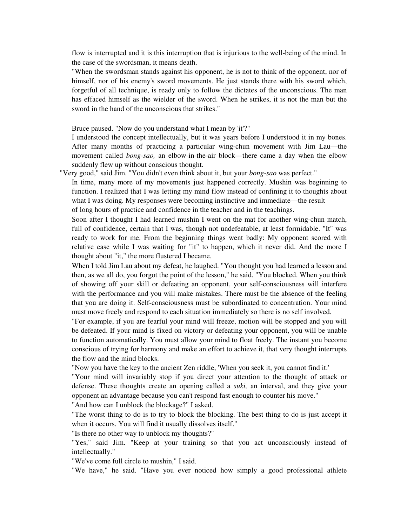flow is interrupted and it is this interruption that is injurious to the well-being of the mind. In the case of the swordsman, it means death.

"When the swordsman stands against his opponent, he is not to think of the opponent, nor of himself, nor of his enemy's sword movements. He just stands there with his sword which, forgetful of all technique, is ready only to follow the dictates of the unconscious. The man has effaced himself as the wielder of the sword. When he strikes, it is not the man but the sword in the hand of the unconscious that strikes."

Bruce paused. "Now do you understand what I mean by 'it'?"

I understood the concept intellectually, but it was years before I understood it in my bones. After many months of practicing a particular wing-chun movement with Jim Lau—the movement called *bong-sao,* an elbow-in-the-air block—there came a day when the elbow suddenly flew up without conscious thought.

"Very good," said Jim. "You didn't even think about it, but your *bong-sao* was perfect."

In time, many more of my movements just happened correctly. Mushin was beginning to function. I realized that I was letting my mind flow instead of confining it to thoughts about what I was doing. My responses were becoming instinctive and immediate—the result of long hours of practice and confidence in the teacher and in the teachings.

Soon after I thought I had learned mushin I went on the mat for another wing-chun match, full of confidence, certain that I was, though not undefeatable, at least formidable. "It" was ready to work for me. From the beginning things went badly: My opponent scored with relative ease while I was waiting for "it" to happen, which it never did. And the more I thought about "it," the more flustered I became.

When I told Jim Lau about my defeat, he laughed. "You thought you had learned a lesson and then, as we all do, you forgot the point of the lesson," he said. "You blocked. When you think of showing off your skill or defeating an opponent, your self-consciousness will interfere with the performance and you will make mistakes. There must be the absence of the feeling that you are doing it. Self-consciousness must be subordinated to concentration. Your mind must move freely and respond to each situation immediately so there is no self involved.

"For example, if you are fearful your mind will freeze, motion will be stopped and you will be defeated. If your mind is fixed on victory or defeating your opponent, you will be unable to function automatically. You must allow your mind to float freely. The instant you become conscious of trying for harmony and make an effort to achieve it, that very thought interrupts the flow and the mind blocks.

"Now you have the key to the ancient Zen riddle, 'When you seek it, you cannot find it.'

"Your mind will invariably stop if you direct your attention to the thought of attack or defense. These thoughts create an opening called a *suki,* an interval, and they give your opponent an advantage because you can't respond fast enough to counter his move."

"And how can I unblock the blockage?" I asked.

"The worst thing to do is to try to block the blocking. The best thing to do is just accept it when it occurs. You will find it usually dissolves itself."

"Is there no other way to unblock my thoughts?"

"Yes," said Jim. "Keep at your training so that you act unconsciously instead of intellectually."

"We've come full circle to mushin," I said.

"We have," he said. "Have you ever noticed how simply a good professional athlete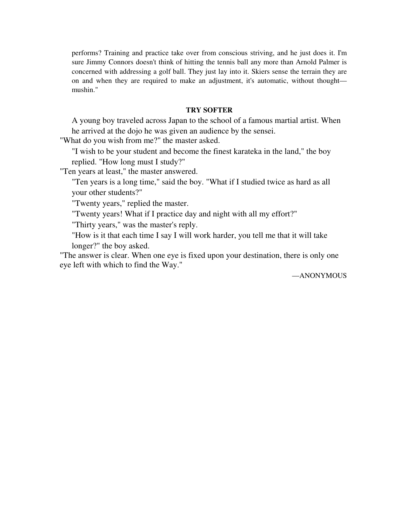performs? Training and practice take over from conscious striving, and he just does it. I'm sure Jimmy Connors doesn't think of hitting the tennis ball any more than Arnold Palmer is concerned with addressing a golf ball. They just lay into it. Skiers sense the terrain they are on and when they are required to make an adjustment, it's automatic, without thought mushin."

#### **TRY SOFTER**

A young boy traveled across Japan to the school of a famous martial artist. When he arrived at the dojo he was given an audience by the sensei.

"What do you wish from me?" the master asked.

"I wish to be your student and become the finest karateka in the land," the boy replied. "How long must I study?"

"Ten years at least," the master answered.

"Ten years is a long time," said the boy. "What if I studied twice as hard as all your other students?"

"Twenty years," replied the master.

"Twenty years! What if I practice day and night with all my effort?"

"Thirty years," was the master's reply.

"How is it that each time I say I will work harder, you tell me that it will take longer?" the boy asked.

"The answer is clear. When one eye is fixed upon your destination, there is only one eye left with which to find the Way."

—ANONYMOUS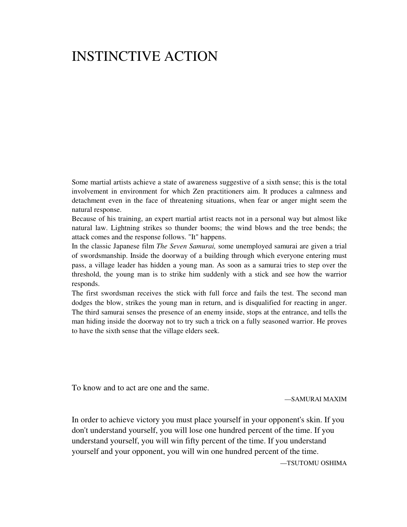#### INSTINCTIVE ACTION

Some martial artists achieve a state of awareness suggestive of a sixth sense; this is the total involvement in environment for which Zen practitioners aim. It produces a calmness and detachment even in the face of threatening situations, when fear or anger might seem the natural response.

Because of his training, an expert martial artist reacts not in a personal way but almost like natural law. Lightning strikes so thunder booms; the wind blows and the tree bends; the attack comes and the response follows. "It" happens.

In the classic Japanese film *The Seven Samurai,* some unemployed samurai are given a trial of swordsmanship. Inside the doorway of a building through which everyone entering must pass, a village leader has hidden a young man. As soon as a samurai tries to step over the threshold, the young man is to strike him suddenly with a stick and see how the warrior responds.

The first swordsman receives the stick with full force and fails the test. The second man dodges the blow, strikes the young man in return, and is disqualified for reacting in anger. The third samurai senses the presence of an enemy inside, stops at the entrance, and tells the man hiding inside the doorway not to try such a trick on a fully seasoned warrior. He proves to have the sixth sense that the village elders seek.

To know and to act are one and the same.

—SAMURAI MAXIM

In order to achieve victory you must place yourself in your opponent's skin. If you don't understand yourself, you will lose one hundred percent of the time. If you understand yourself, you will win fifty percent of the time. If you understand yourself and your opponent, you will win one hundred percent of the time.

—TSUTOMU OSHIMA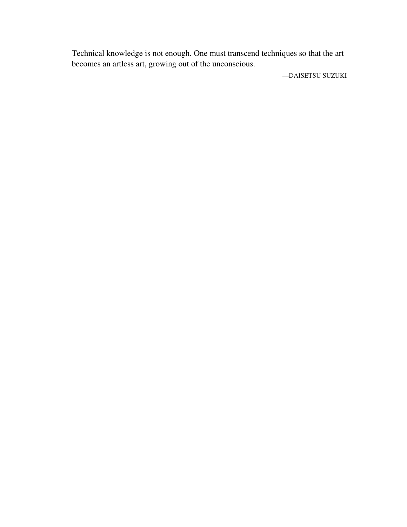Technical knowledge is not enough. One must transcend techniques so that the art becomes an artless art, growing out of the unconscious.

—DAISETSU SUZUKI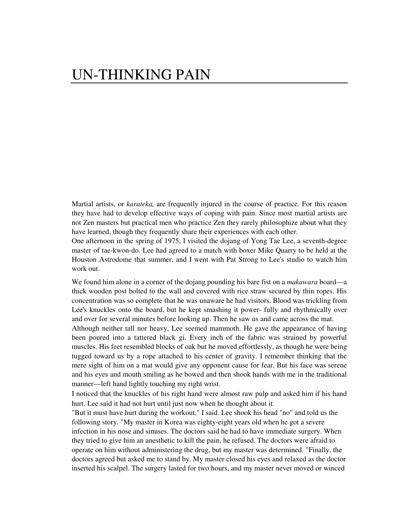Martial artists, or *karateka,* are frequently injured in the course of practice. For this reason they have had to develop effective ways of coping with pain. Since most martial artists are not Zen masters but practical men who practice Zen they rarely philosophize about what they have learned, though they frequently share their experiences with each other.

One afternoon in the spring of 1975, I visited the dojang of Yong Tae Lee, a seventh-degree master of tae-kwon-do. Lee had agreed to a match with boxer Mike Quarry to be held at the Houston Astrodome that summer, and I went with Pat Strong to Lee's studio to watch him work out.

We found him alone in a corner of the dojang pounding his bare fist on a *makawara* board—a thick wooden post bolted to the wall and covered with rice straw secured by thin ropes. His concentration was so complete that he was unaware he had visitors. Blood was trickling from Lee's knuckles onto the board, but he kept smashing it power- fully and rhythmically over and over for several minutes before looking up. Then he saw us and came across the mat.

Although neither tall nor heavy, Lee seemed mammoth. He gave the appearance of having been poured into a tattered black gi. Every inch of the fabric was strained by powerful muscles. His feet resembled blocks of oak but he moved effortlessly, as though he were being tugged toward us by a rope attached to his center of gravity. I remember thinking that the mere sight of him on a mat would give any opponent cause for fear. But his face was serene and his eyes and mouth smiling as he bowed and then shook hands with me in the traditional manner—left hand lightly touching my right wrist.

I noticed that the knuckles of his right hand were almost raw pulp and asked him if his hand hurt. Lee said it had not hurt until just now when he thought about it.

"But it must have hurt during the workout," I said. Lee shook his head "no" and told us the following story. "My master in Korea was eighty-eight years old when he got a severe infection in his nose and sinuses. The doctors said he had to have immediate surgery. When they tried to give him an anesthetic to kill the pain, he refused. The doctors were afraid to operate on him without administering the drug, but my master was determined. "Finally, the doctors agreed but asked me to stand by. My master closed his eyes and relaxed as the doctor inserted his scalpel. The surgery lasted for two hours, and my master never moved or winced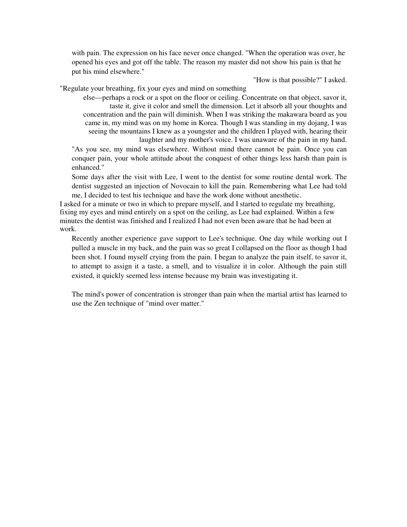with pain. The expression on his face never once changed. "When the operation was over, he opened his eyes and got off the table. The reason my master did not show his pain is that he put his mind elsewhere."

"How is that possible?" I asked.

"Regulate your breathing, fix your eyes and mind on something

else—perhaps a rock or a spot on the floor or ceiling. Concentrate on that object, savor it, taste it, give it color and smell the dimension. Let it absorb all your thoughts and concentration and the pain will diminish. When I was striking the makawara board as you came in, my mind was on my home in Korea. Though I was standing in my dojang, I was seeing the mountains I knew as a youngster and the children I played with, hearing their laughter and my mother's voice. I was unaware of the pain in my hand.

"As you see, my mind was elsewhere. Without mind there cannot be pain. Once you can conquer pain, your whole attitude about the conquest of other things less harsh than pain is enhanced."

Some days after the visit with Lee, I went to the dentist for some routine dental work. The dentist suggested an injection of Novocain to kill the pain. Remembering what Lee had told me, I decided to test his technique and have the work done without anesthetic.

I asked for a minute or two in which to prepare myself, and I started to regulate my breathing, fixing my eyes and mind entirely on a spot on the ceiling, as Lee had explained. Within a few minutes the dentist was finished and I realized I had not even been aware that he had been at work.

Recently another experience gave support to Lee's technique. One day while working out I pulled a muscle in my back, and the pain was so great I collapsed on the floor as though I had been shot. I found myself crying from the pain. I began to analyze the pain itself, to savor it, to attempt to assign it a taste, a smell, and to visualize it in color. Although the pain still existed, it quickly seemed less intense because my brain was investigating it.

The mind's power of concentration is stronger than pain when the martial artist has learned to use the Zen technique of "mind over matter."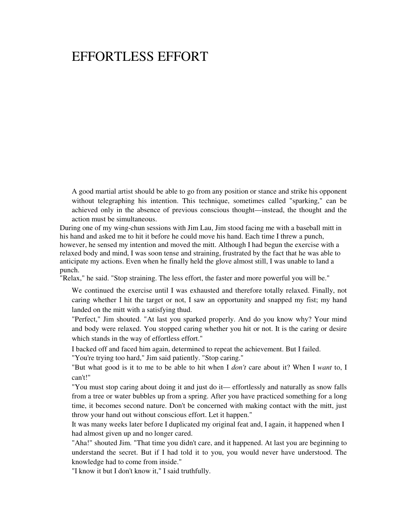#### EFFORTLESS EFFORT

A good martial artist should be able to go from any position or stance and strike his opponent without telegraphing his intention. This technique, sometimes called "sparking," can be achieved only in the absence of previous conscious thought—instead, the thought and the action must be simultaneous.

During one of my wing-chun sessions with Jim Lau, Jim stood facing me with a baseball mitt in his hand and asked me to hit it before he could move his hand. Each time I threw a punch, however, he sensed my intention and moved the mitt. Although I had begun the exercise with a relaxed body and mind, I was soon tense and straining, frustrated by the fact that he was able to anticipate my actions. Even when he finally held the glove almost still, I was unable to land a punch.

"Relax," he said. "Stop straining. The less effort, the faster and more powerful you will be."

We continued the exercise until I was exhausted and therefore totally relaxed. Finally, not caring whether I hit the target or not, I saw an opportunity and snapped my fist; my hand landed on the mitt with a satisfying thud.

"Perfect," Jim shouted. "At last you sparked properly. And do you know why? Your mind and body were relaxed. You stopped caring whether you hit or not. It is the caring or desire which stands in the way of effortless effort."

I backed off and faced him again, determined to repeat the achievement. But I failed.

"You're trying too hard," Jim said patiently. "Stop caring."

"But what good is it to me to be able to hit when I *don't* care about it? When I *want* to, I can't!"

"You must stop caring about doing it and just do it— effortlessly and naturally as snow falls from a tree or water bubbles up from a spring. After you have practiced something for a long time, it becomes second nature. Don't be concerned with making contact with the mitt, just throw your hand out without conscious effort. Let it happen."

It was many weeks later before I duplicated my original feat and, I again, it happened when I had almost given up and no longer cared.

"Aha!" shouted Jim. "That time you didn't care, and it happened. At last you are beginning to understand the secret. But if I had told it to you, you would never have understood. The knowledge had to come from inside."

"I know it but I don't know it," I said truthfully.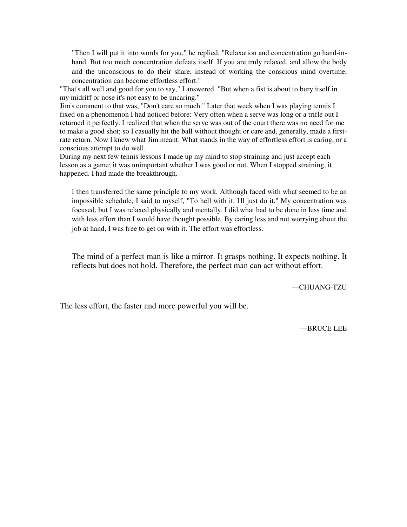"Then I will put it into words for you," he replied. "Relaxation and concentration go hand-inhand. But too much concentration defeats itself. If you are truly relaxed, and allow the body and the unconscious to do their share, instead of working the conscious mind overtime, concentration can become effortless effort."

"That's all well and good for you to say," I answered. "But when a fist is about to bury itself in my midriff or nose it's not easy to be uncaring."

Jim's comment to that was, "Don't care so much." Later that week when I was playing tennis I fixed on a phenomenon I had noticed before: Very often when a serve was long or a trifle out I returned it perfectly. I realized that when the serve was out of the court there was no need for me to make a good shot; so I casually hit the ball without thought or care and, generally, made a firstrate return. Now I knew what Jim meant: What stands in the way of effortless effort is caring, or a conscious attempt to do well.

During my next few tennis lessons I made up my mind to stop straining and just accept each lesson as a game; it was unimportant whether I was good or not. When I stopped straining, it happened. I had made the breakthrough.

I then transferred the same principle to my work. Although faced with what seemed to be an impossible schedule, I said to myself, "To hell with it. I'll just do it." My concentration was focused, but I was relaxed physically and mentally. I did what had to be done in less time and with less effort than I would have thought possible. By caring less and not worrying about the job at hand, I was free to get on with it. The effort was effortless.

The mind of a perfect man is like a mirror. It grasps nothing. It expects nothing. It reflects but does not hold. Therefore, the perfect man can act without effort.

—CHUANG-TZU

The less effort, the faster and more powerful you will be.

—BRUCE LEE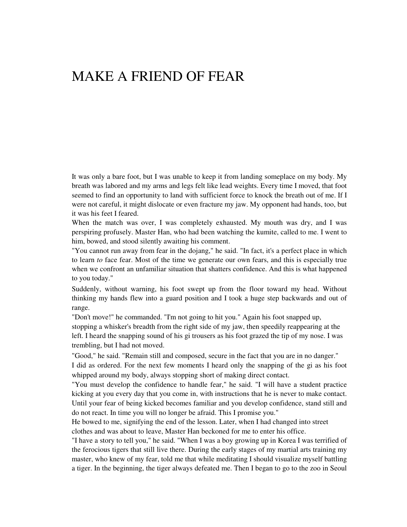#### MAKE A FRIEND OF FEAR

It was only a bare foot, but I was unable to keep it from landing someplace on my body. My breath was labored and my arms and legs felt like lead weights. Every time I moved, that foot seemed to find an opportunity to land with sufficient force to knock the breath out of me. If I were not careful, it might dislocate or even fracture my jaw. My opponent had hands, too, but it was his feet I feared.

When the match was over, I was completely exhausted. My mouth was dry, and I was perspiring profusely. Master Han, who had been watching the kumite, called to me. I went to him, bowed, and stood silently awaiting his comment.

"You cannot run away from fear in the dojang," he said. "In fact, it's a perfect place in which to learn *to* face fear. Most of the time we generate our own fears, and this is especially true when we confront an unfamiliar situation that shatters confidence. And this is what happened to you today."

Suddenly, without warning, his foot swept up from the floor toward my head. Without thinking my hands flew into a guard position and I took a huge step backwards and out of range.

"Don't move!" he commanded. "I'm not going to hit you." Again his foot snapped up,

stopping a whisker's breadth from the right side of my jaw, then speedily reappearing at the left. I heard the snapping sound of his gi trousers as his foot grazed the tip of my nose. I was trembling, but I had not moved.

"Good," he said. "Remain still and composed, secure in the fact that you are in no danger." I did as ordered. For the next few moments I heard only the snapping of the gi as his foot whipped around my body, always stopping short of making direct contact.

"You must develop the confidence to handle fear," he said. "I will have a student practice kicking at you every day that you come in, with instructions that he is never to make contact. Until your fear of being kicked becomes familiar and you develop confidence, stand still and do not react. In time you will no longer be afraid. This I promise you."

He bowed to me, signifying the end of the lesson. Later, when I had changed into street clothes and was about to leave, Master Han beckoned for me to enter his office.

"I have a story to tell you," he said. "When I was a boy growing up in Korea I was terrified of the ferocious tigers that still live there. During the early stages of my martial arts training my master, who knew of my fear, told me that while meditating I should visualize myself battling a tiger. In the beginning, the tiger always defeated me. Then I began to go to the zoo in Seoul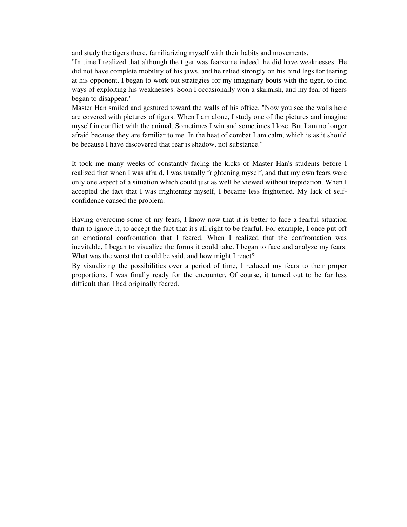and study the tigers there, familiarizing myself with their habits and movements.

"In time I realized that although the tiger was fearsome indeed, he did have weaknesses: He did not have complete mobility of his jaws, and he relied strongly on his hind legs for tearing at his opponent. I began to work out strategies for my imaginary bouts with the tiger, to find ways of exploiting his weaknesses. Soon I occasionally won a skirmish, and my fear of tigers began to disappear."

Master Han smiled and gestured toward the walls of his office. "Now you see the walls here are covered with pictures of tigers. When I am alone, I study one of the pictures and imagine myself in conflict with the animal. Sometimes I win and sometimes I lose. But I am no longer afraid because they are familiar to me. In the heat of combat I am calm, which is as it should be because I have discovered that fear is shadow, not substance."

It took me many weeks of constantly facing the kicks of Master Han's students before I realized that when I was afraid, I was usually frightening myself, and that my own fears were only one aspect of a situation which could just as well be viewed without trepidation. When I accepted the fact that I was frightening myself, I became less frightened. My lack of selfconfidence caused the problem.

Having overcome some of my fears, I know now that it is better to face a fearful situation than to ignore it, to accept the fact that it's all right to be fearful. For example, I once put off an emotional confrontation that I feared. When I realized that the confrontation was inevitable, I began to visualize the forms it could take. I began to face and analyze my fears. What was the worst that could be said, and how might I react?

By visualizing the possibilities over a period of time, I reduced my fears to their proper proportions. I was finally ready for the encounter. Of course, it turned out to be far less difficult than I had originally feared.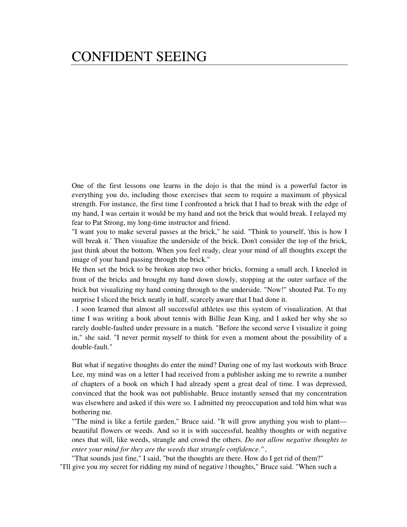#### CONFIDENT SEEING

One of the first lessons one learns in the dojo is that the mind is a powerful factor in everything you do, including those exercises that seem to require a maximum of physical strength. For instance, the first time I confronted a brick that I had to break with the edge of my hand, I was certain it would be my hand and not the brick that would break. I relayed my fear to Pat Strong, my long-time instructor and friend.

"I want you to make several passes at the brick," he said. "Think to yourself, 'this is how I will break it.' Then visualize the underside of the brick. Don't consider the top of the brick, just think about the bottom. When you feel ready, clear your mind of all thoughts except the image of your hand passing through the brick."

He then set the brick to be broken atop two other bricks, forming a small arch. I kneeled in front of the bricks and brought my hand down slowly, stopping at the outer surface of the brick but visualizing my hand coming through to the underside. "Now!" shouted Pat. To my surprise I sliced the brick neatly in half, scarcely aware that I had done it.

. I soon learned that almost all successful athletes use this system of visualization. At that time I was writing a book about tennis with Billie Jean King, and I asked her why she so rarely double-faulted under pressure in a match. "Before the second serve I visualize it going in," she said. "I never permit myself to think for even a moment about the possibility of a double-fault."

But what if negative thoughts do enter the mind? During one of my last workouts with Bruce Lee, my mind was on a letter I had received from a publisher asking me to rewrite a number of chapters of a book on which I had already spent a great deal of time. I was depressed, convinced that the book was not publishable. Bruce instantly sensed that my concentration was elsewhere and asked if this were so. I admitted my preoccupation and told him what was bothering me.

"'The mind is like a fertile garden," Bruce said. "It will grow anything you wish to plant beautiful flowers or weeds. And so it is with successful, healthy thoughts or with negative ones that will, like weeds, strangle and crowd the others. *Do not allow negative thoughts to enter your mind for they are the weeds that strangle confidence." ,*

"That sounds just fine," I said, "but the thoughts are there. How do I get rid of them?" "I'll give you my secret for ridding my mind of negative | thoughts," Bruce said. "When such a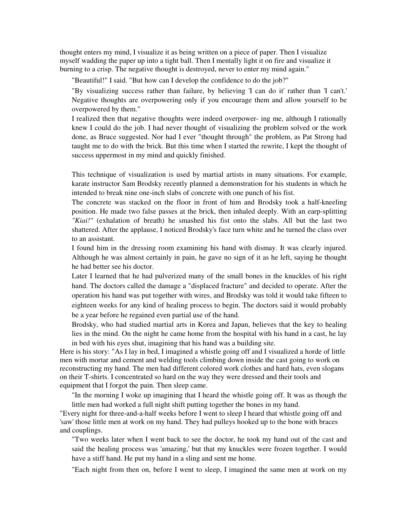thought enters my mind, I visualize it as being written on a piece of paper. Then I visualize myself wadding the paper up into a tight ball. Then I mentally light it on fire and visualize it burning to a crisp. The negative thought is destroyed, never to enter my mind again."

"Beautiful!" I said. "But how can I develop the confidence to do the job?"

"By visualizing success rather than failure, by believing 'I can do it' rather than 'I can't.' Negative thoughts are overpowering only if you encourage them and allow yourself to be overpowered by them."

I realized then that negative thoughts were indeed overpower- ing me, although I rationally knew I could do the job. I had never thought of visualizing the problem solved or the work done, as Bruce suggested. Nor had I ever "thought through" the problem, as Pat Strong had taught me to do with the brick. But this time when I started the rewrite, I kept the thought of success uppermost in my mind and quickly finished.

This technique of visualization is used by martial artists in many situations. For example, karate instructor Sam Brodsky recently planned a demonstration for his students in which he intended to break nine one-inch slabs of concrete with one punch of his fist.

The concrete was stacked on the floor in front of him and Brodsky took a half-kneeling position. He made two false passes at the brick, then inhaled deeply. With an earp-splitting *"Kiai!"* (exhalation of breath) he smashed his fist onto the slabs. All but the last two shattered. After the applause, I noticed Brodsky's face turn white and he turned the class over to an assistant.

I found him in the dressing room examining his hand with dismay. It was clearly injured. Although he was almost certainly in pain, he gave no sign of it as he left, saying he thought he had better see his doctor.

Later I learned that he had pulverized many of the small bones in the knuckles of his right hand. The doctors called the damage a "displaced fracture" and decided to operate. After the operation his hand was put together with wires, and Brodsky was told it would take fifteen to eighteen weeks for any kind of healing process to begin. The doctors said it would probably be a year before he regained even partial use of the hand.

Brodsky, who had studied martial arts in Korea and Japan, believes that the key to healing lies in the mind. On the night he came home from the hospital with his hand in a cast, he lay in bed with his eyes shut, imagining that his hand was a building site.

Here is his story: "As I lay in bed, I imagined a whistle going off and I visualized a horde of little men with mortar and cement and welding tools climbing down inside the cast going to work on reconstructing my hand. The men had different colored work clothes and hard hats, even slogans on their T-shirts. I concentrated so hard on the way they were dressed and their tools and equipment that I forgot the pain. Then sleep came.

"In the morning I woke up imagining that I heard the whistle going off. It was as though the little men had worked a full night shift putting together the bones in my hand.

"Every night for three-and-a-half weeks before I went to sleep I heard that whistle going off and 'saw' those little men at work on my hand. They had pulleys hooked up to the bone with braces and couplings.

"Two weeks later when I went back to see the doctor, he took my hand out of the cast and said the healing process was 'amazing,' but that my knuckles were frozen together. I would have a stiff hand. He put my hand in a sling and sent me home.

"Each night from then on, before I went to sleep, I imagined the same men at work on my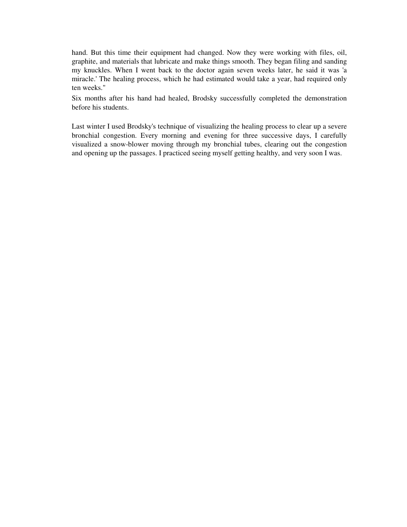hand. But this time their equipment had changed. Now they were working with files, oil, graphite, and materials that lubricate and make things smooth. They began filing and sanding my knuckles. When I went back to the doctor again seven weeks later, he said it was 'a miracle.' The healing process, which he had estimated would take a year, had required only ten weeks."

Six months after his hand had healed, Brodsky successfully completed the demonstration before his students.

Last winter I used Brodsky's technique of visualizing the healing process to clear up a severe bronchial congestion. Every morning and evening for three successive days, I carefully visualized a snow-blower moving through my bronchial tubes, clearing out the congestion and opening up the passages. I practiced seeing myself getting healthy, and very soon I was.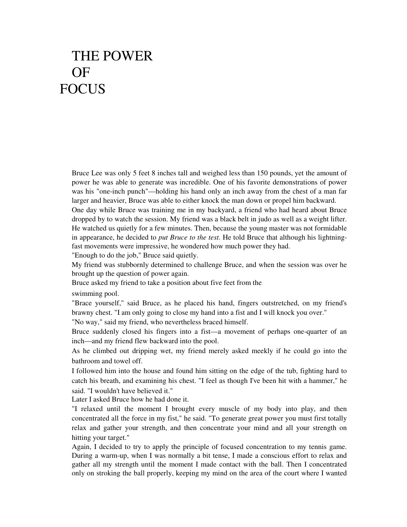# THE POWER **OF FOCUS**

Bruce Lee was only 5 feet 8 inches tall and weighed less than 150 pounds, yet the amount of power he was able to generate was incredible. One of his favorite demonstrations of power was his "one-inch punch"—holding his hand only an inch away from the chest of a man far larger and heavier, Bruce was able to either knock the man down or propel him backward. One day while Bruce was training me in my backyard, a friend who had heard about Bruce dropped by to watch the session. My friend was a black belt in judo as well as a weight lifter. He watched us quietly for a few minutes. Then, because the young master was not formidable in appearance, he decided to *put Bruce to the test.* He told Bruce that although his lightningfast movements were impressive, he wondered how much power they had.

"Enough to do the job," Bruce said quietly.

My friend was stubbornly determined to challenge Bruce, and when the session was over he brought up the question of power again.

Bruce asked my friend to take a position about five feet from the

swimming pool.

"Brace yourself," said Bruce, as he placed his hand, fingers outstretched, on my friend's brawny chest. "I am only going to close my hand into a fist and I will knock you over."

"No way," said my friend, who nevertheless braced himself.

Bruce suddenly closed his fingers into a fist—a movement of perhaps one-quarter of an inch—and my friend flew backward into the pool.

As he climbed out dripping wet, my friend merely asked meekly if he could go into the bathroom and towel off.

I followed him into the house and found him sitting on the edge of the tub, fighting hard to catch his breath, and examining his chest. "I feel as though I've been hit with a hammer," he said. "I wouldn't have believed it."

Later I asked Bruce how he had done it.

"I relaxed until the moment I brought every muscle of my body into play, and then concentrated all the force in my fist," he said. "To generate great power you must first totally relax and gather your strength, and then concentrate your mind and all your strength on hitting your target."

Again, I decided to try to apply the principle of focused concentration to my tennis game. During a warm-up, when I was normally a bit tense, I made a conscious effort to relax and gather all my strength until the moment I made contact with the ball. Then I concentrated only on stroking the ball properly, keeping my mind on the area of the court where I wanted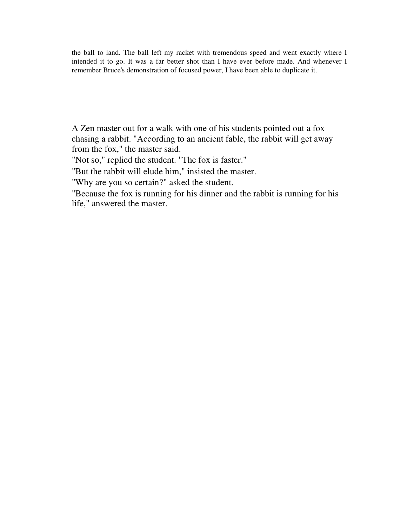the ball to land. The ball left my racket with tremendous speed and went exactly where I intended it to go. It was a far better shot than I have ever before made. And whenever I remember Bruce's demonstration of focused power, I have been able to duplicate it.

A Zen master out for a walk with one of his students pointed out a fox chasing a rabbit. "According to an ancient fable, the rabbit will get away from the fox," the master said.

"Not so," replied the student. "The fox is faster."

"But the rabbit will elude him," insisted the master.

"Why are you so certain?" asked the student.

"Because the fox is running for his dinner and the rabbit is running for his life," answered the master.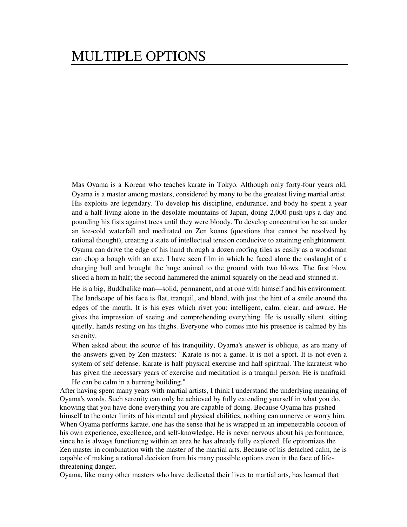#### MULTIPLE OPTIONS

Mas Oyama is a Korean who teaches karate in Tokyo. Although only forty-four years old, Oyama is a master among masters, considered by many to be the greatest living martial artist. His exploits are legendary. To develop his discipline, endurance, and body he spent a year and a half living alone in the desolate mountains of Japan, doing 2,000 push-ups a day and pounding his fists against trees until they were bloody. To develop concentration he sat under an ice-cold waterfall and meditated on Zen koans (questions that cannot be resolved by rational thought), creating a state of intellectual tension conducive to attaining enlightenment. Oyama can drive the edge of his hand through a dozen roofing tiles as easily as a woodsman can chop a bough with an axe. I have seen film in which he faced alone the onslaught of a charging bull and brought the huge animal to the ground with two blows. The first blow sliced a horn in half; the second hammered the animal squarely on the head and stunned it.

He is a big, Buddhalike man—solid, permanent, and at one with himself and his environment. The landscape of his face is flat, tranquil, and bland, with just the hint of a smile around the edges of the mouth. It is his eyes which rivet you: intelligent, calm, clear, and aware. He gives the impression of seeing and comprehending everything. He is usually silent, sitting quietly, hands resting on his thighs. Everyone who comes into his presence is calmed by his serenity.

When asked about the source of his tranquility, Oyama's answer is oblique, as are many of the answers given by Zen masters: "Karate is not a game. It is not a sport. It is not even a system of self-defense. Karate is half physical exercise and half spiritual. The karateist who has given the necessary years of exercise and meditation is a tranquil person. He is unafraid. He can be calm in a burning building."

After having spent many years with martial artists, I think I understand the underlying meaning of Oyama's words. Such serenity can only be achieved by fully extending yourself in what you do, knowing that you have done everything you are capable of doing. Because Oyama has pushed himself to the outer limits of his mental and physical abilities, nothing can unnerve or worry him. When Oyama performs karate, one has the sense that he is wrapped in an impenetrable cocoon of his own experience, excellence, and self-knowledge. He is never nervous about his performance, since he is always functioning within an area he has already fully explored. He epitomizes the Zen master in combination with the master of the martial arts. Because of his detached calm, he is capable of making a rational decision from his many possible options even in the face of lifethreatening danger.

Oyama, like many other masters who have dedicated their lives to martial arts, has learned that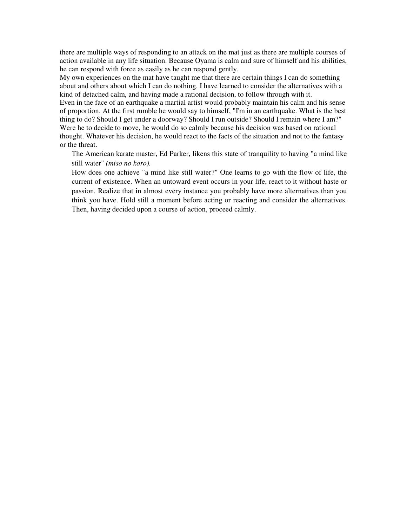there are multiple ways of responding to an attack on the mat just as there are multiple courses of action available in any life situation. Because Oyama is calm and sure of himself and his abilities, he can respond with force as easily as he can respond gently.

My own experiences on the mat have taught me that there are certain things I can do something about and others about which I can do nothing. I have learned to consider the alternatives with a kind of detached calm, and having made a rational decision, to follow through with it.

Even in the face of an earthquake a martial artist would probably maintain his calm and his sense of proportion. At the first rumble he would say to himself, "I'm in an earthquake. What is the best thing to do? Should I get under a doorway? Should I run outside? Should I remain where I am?" Were he to decide to move, he would do so calmly because his decision was based on rational thought. Whatever his decision, he would react to the facts of the situation and not to the fantasy or the threat.

The American karate master, Ed Parker, likens this state of tranquility to having "a mind like still water" *(miso no koro).*

How does one achieve "a mind like still water?" One learns to go with the flow of life, the current of existence. When an untoward event occurs in your life, react to it without haste or passion. Realize that in almost every instance you probably have more alternatives than you think you have. Hold still a moment before acting or reacting and consider the alternatives. Then, having decided upon a course of action, proceed calmly.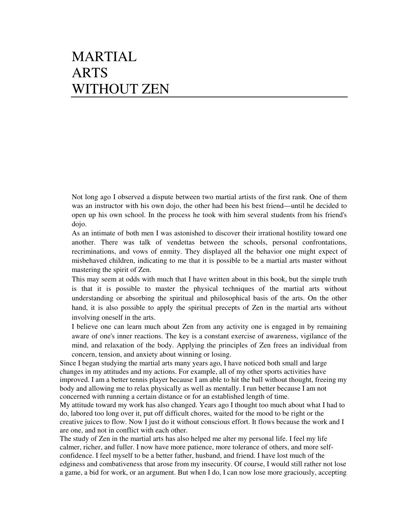# MARTIAL ARTS WITHOUT ZEN

Not long ago I observed a dispute between two martial artists of the first rank. One of them was an instructor with his own dojo, the other had been his best friend—until he decided to open up his own school. In the process he took with him several students from his friend's dojo.

As an intimate of both men I was astonished to discover their irrational hostility toward one another. There was talk of vendettas between the schools, personal confrontations, recriminations, and vows of enmity. They displayed all the behavior one might expect of misbehaved children, indicating to me that it is possible to be a martial arts master without mastering the spirit of Zen.

This may seem at odds with much that I have written about in this book, but the simple truth is that it is possible to master the physical techniques of the martial arts without understanding or absorbing the spiritual and philosophical basis of the arts. On the other hand, it is also possible to apply the spiritual precepts of Zen in the martial arts without involving oneself in the arts.

I believe one can learn much about Zen from any activity one is engaged in by remaining aware of one's inner reactions. The key is a constant exercise of awareness, vigilance of the mind, and relaxation of the body. Applying the principles of Zen frees an individual from concern, tension, and anxiety about winning or losing.

Since I began studying the martial arts many years ago, I have noticed both small and large changes in my attitudes and my actions. For example, all of my other sports activities have improved. I am a better tennis player because I am able to hit the ball without thought, freeing my body and allowing me to relax physically as well as mentally. I run better because I am not concerned with running a certain distance or for an established length of time.

My attitude toward my work has also changed. Years ago I thought too much about what I had to do, labored too long over it, put off difficult chores, waited for the mood to be right or the creative juices to flow. Now I just do it without conscious effort. It flows because the work and I are one, and not in conflict with each other.

The study of Zen in the martial arts has also helped me alter my personal life. I feel my life calmer, richer, and fuller. I now have more patience, more tolerance of others, and more selfconfidence. I feel myself to be a better father, husband, and friend. I have lost much of the edginess and combativeness that arose from my insecurity. Of course, I would still rather not lose a game, a bid for work, or an argument. But when I do, I can now lose more graciously, accepting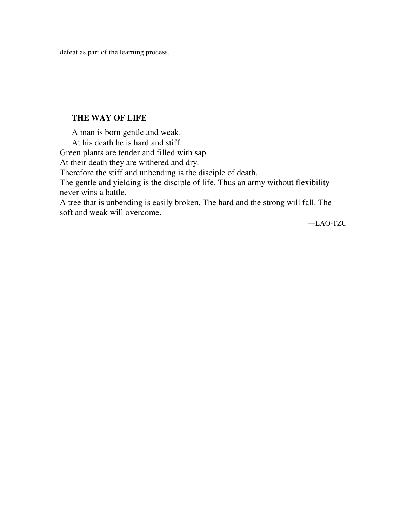defeat as part of the learning process.

#### **THE WAY OF LIFE**

A man is born gentle and weak.

At his death he is hard and stiff.

Green plants are tender and filled with sap.

At their death they are withered and dry.

Therefore the stiff and unbending is the disciple of death.

The gentle and yielding is the disciple of life. Thus an army without flexibility never wins a battle.

A tree that is unbending is easily broken. The hard and the strong will fall. The soft and weak will overcome.

—LAO-TZU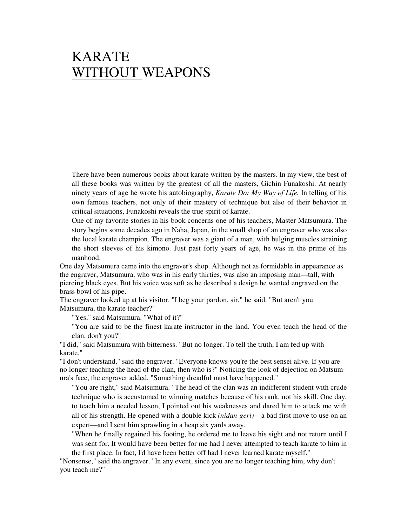## KARATE WITHOUT WEAPONS

There have been numerous books about karate written by the masters. In my view, the best of all these books was written by the greatest of all the masters, Gichin Funakoshi. At nearly ninety years of age he wrote his autobiography, *Karate Do: My Way of Life.* In telling of his own famous teachers, not only of their mastery of technique but also of their behavior in critical situations, Funakoshi reveals the true spirit of karate.

One of my favorite stories in his book concerns one of his teachers, Master Matsumura. The story begins some decades ago in Naha, Japan, in the small shop of an engraver who was also the local karate champion. The engraver was a giant of a man, with bulging muscles straining the short sleeves of his kimono. Just past forty years of age, he was in the prime of his manhood.

One day Matsumura came into the engraver's shop. Although not as formidable in appearance as the engraver, Matsumura, who was in his early thirties, was also an imposing man—tall, with piercing black eyes. But his voice was soft as he described a design he wanted engraved on the brass bowl of his pipe.

The engraver looked up at his visitor. "I beg your pardon, sir," he said. "But aren't you Matsumura, the karate teacher?"

"Yes," said Matsumura. "What of it?"

"You are said to be the finest karate instructor in the land. You even teach the head of the clan, don't you?"

"I did," said Matsumura with bitterness. "But no longer. To tell the truth, I am fed up with karate."

"I don't understand," said the engraver. "Everyone knows you're the best sensei alive. If you are no longer teaching the head of the clan, then who is?" Noticing the look of dejection on Matsumura's face, the engraver added, "Something dreadful must have happened."

"You are right," said Matsumura. "The head of the clan was an indifferent student with crude technique who is accustomed to winning matches because of his rank, not his skill. One day, to teach him a needed lesson, I pointed out his weaknesses and dared him to attack me with all of his strength. He opened with a double kick *(nidan-geri)*—a bad first move to use on an expert—and I sent him sprawling in a heap six yards away.

"When he finally regained his footing, he ordered me to leave his sight and not return until I was sent for. It would have been better for me had I never attempted to teach karate to him in the first place. In fact, I'd have been better off had I never learned karate myself."

"Nonsense," said the engraver. "In any event, since you are no longer teaching him, why don't you teach me?"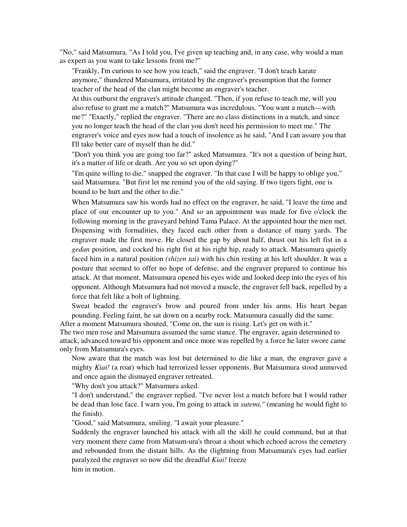"No," said Matsumura. "As I told you, I've given up teaching and, in any case, why would a man as expert as you want to take lessons from me?"

"Frankly, I'm curious to see how you teach," said the engraver. "I don't teach karate anymore," thundered Matsumura, irritated by the engraver's presumption that the former teacher of the head of the clan might become an engraver's teacher.

At this outburst the engraver's attitude changed. "Then, if you refuse to teach me, will you also refuse to grant me a match?" Matsumura was incredulous. "You want a match—with me?" "Exactly," replied the engraver. "There are no class distinctions in a match, and since you no longer teach the head of the clan you don't need his permission to meet me." The engraver's voice and eyes now had a touch of insolence as he said, "And I can assure you that I'll take better care of myself than he did."

"Don't you think you are going too far?" asked Matsumura. "It's not a question of being hurt, it's a matter of life or death. Are you so set upon dying?"

"I'm quite willing to die," snapped the engraver. "In that case I will be happy to oblige you," said Matsumura. "But first let me remind you of the old saying. If two tigers fight, one is bound to be hurt and the other to die."

When Matsumura saw his words had no effect on the engraver, he said, "I leave the time and place of our encounter up to you." And so an appointment was made for five o'clock the following morning in the graveyard behind Tama Palace. At the appointed hour the men met. Dispensing with formalities, they faced each other from a distance of many yards. The engraver made the first move. He closed the gap by about half, thrust out his left fist in a *gedan* position, and cocked his right fist at his right hip, ready to attack. Matsumura quietly faced him in a natural position *(shizen tai)* with his chin resting at his left shoulder. It was a posture that seemed to offer no hope of defense, and the engraver prepared to continue his attack. At that moment, Matsumura opened his eyes wide and looked deep into the eyes of his opponent. Although Matsumura had not moved a muscle, the engraver fell back, repelled by a force that felt like a bolt of lightning.

Sweat beaded the engraver's brow and poured from under his arms. His heart began pounding. Feeling faint, he sat down on a nearby rock. Matsumura casually did the same.

After a moment Matsumura shouted, "Come on, the sun is rising. Let's get on with it." The two men rose and Matsumura assumed the same stance. The engraver, again determined to attack, advanced toward his opponent and once more was repelled by a force he later swore came only from Matsumura's eyes.

Now aware that the match was lost but determined to die like a man, the engraver gave a mighty *Kiai!* (a roar) which had terrorized lesser opponents. But Matsumura stood unmoved and once again the dismayed engraver retreated.

"Why don't you attack?" Matsumura asked.

"I don't understand," the engraver replied. "I've never lost a match before but I would rather be dead than lose face. I warn you, I'm going to attack in *sutemi,"* (meaning he would fight to the finish).

"Good," said Matsumura, smiling. "I await your pleasure."

Suddenly the engraver launched his attack with all the skill he could command, but at that very moment there came from Matsum-ura's throat a shout which echoed across the cemetery and rebounded from the distant hills. As the (lightning from Matsumura's eyes had earlier paralyzed the engraver so now did the dreadful *Kiai!* freeze him in motion.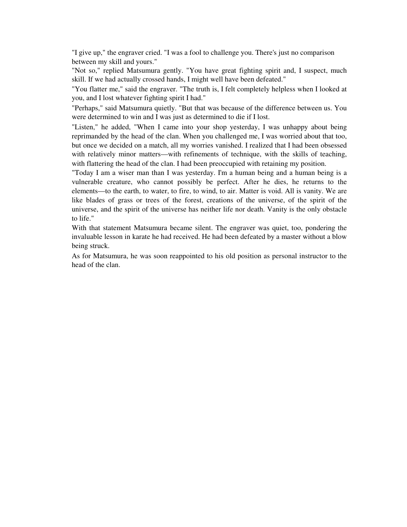"I give up," the engraver cried. "I was a fool to challenge you. There's just no comparison between my skill and yours."

"Not so," replied Matsumura gently. "You have great fighting spirit and, I suspect, much skill. If we had actually crossed hands, I might well have been defeated."

"You flatter me," said the engraver. "The truth is, I felt completely helpless when I looked at you, and I lost whatever fighting spirit I had."

"Perhaps," said Matsumura quietly. "But that was because of the difference between us. You were determined to win and I was just as determined to die if I lost.

"Listen," he added, "When I came into your shop yesterday, I was unhappy about being reprimanded by the head of the clan. When you challenged me, I was worried about that too, but once we decided on a match, all my worries vanished. I realized that I had been obsessed with relatively minor matters—with refinements of technique, with the skills of teaching, with flattering the head of the clan. I had been preoccupied with retaining my position.

"Today I am a wiser man than I was yesterday. I'm a human being and a human being is a vulnerable creature, who cannot possibly be perfect. After he dies, he returns to the elements—to the earth, to water, to fire, to wind, to air. Matter is void. All is vanity. We are like blades of grass or trees of the forest, creations of the universe, of the spirit of the universe, and the spirit of the universe has neither life nor death. Vanity is the only obstacle to life."

With that statement Matsumura became silent. The engraver was quiet, too, pondering the invaluable lesson in karate he had received. He had been defeated by a master without a blow being struck.

As for Matsumura, he was soon reappointed to his old position as personal instructor to the head of the clan.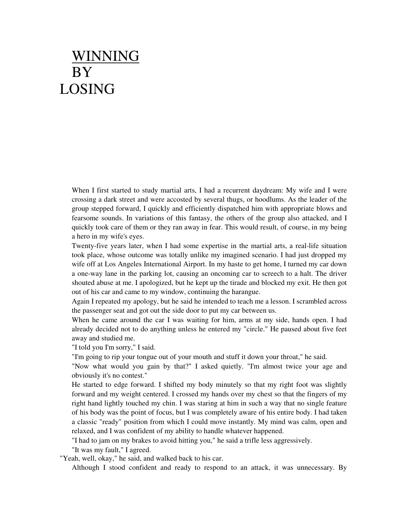# WINNING BY LOSING

When I first started to study martial arts, I had a recurrent daydream: My wife and I were crossing a dark street and were accosted by several thugs, or hoodlums. As the leader of the group stepped forward, I quickly and efficiently dispatched him with appropriate blows and fearsome sounds. In variations of this fantasy, the others of the group also attacked, and I quickly took care of them or they ran away in fear. This would result, of course, in my being a hero in my wife's eyes.

Twenty-five years later, when I had some expertise in the martial arts, a real-life situation took place, whose outcome was totally unlike my imagined scenario. I had just dropped my wife off at Los Angeles International Airport. In my haste to get home, I turned my car down a one-way lane in the parking lot, causing an oncoming car to screech to a halt. The driver shouted abuse at me. I apologized, but he kept up the tirade and blocked my exit. He then got out of his car and came to my window, continuing the harangue.

Again I repeated my apology, but he said he intended to teach me a lesson. I scrambled across the passenger seat and got out the side door to put my car between us.

When he came around the car I was waiting for him, arms at my side, hands open. I had already decided not to do anything unless he entered my "circle." He paused about five feet away and studied me.

"I told you I'm sorry," I said.

"I'm going to rip your tongue out of your mouth and stuff it down your throat," he said.

"Now what would you gain by that?" I asked quietly. "I'm almost twice your age and obviously it's no contest."

He started to edge forward. I shifted my body minutely so that my right foot was slightly forward and my weight centered. I crossed my hands over my chest so that the fingers of my right hand lightly touched my chin. I was staring at him in such a way that no single feature of his body was the point of focus, but I was completely aware of his entire body. I had taken a classic "ready" position from which I could move instantly. My mind was calm, open and relaxed, and I was confident of my ability to handle whatever happened.

"I had to jam on my brakes to avoid hitting you," he said a trifle less aggressively.

"It was my fault," I agreed.

"Yeah, well, okay," he said, and walked back to his car.

Although I stood confident and ready to respond to an attack, it was unnecessary. By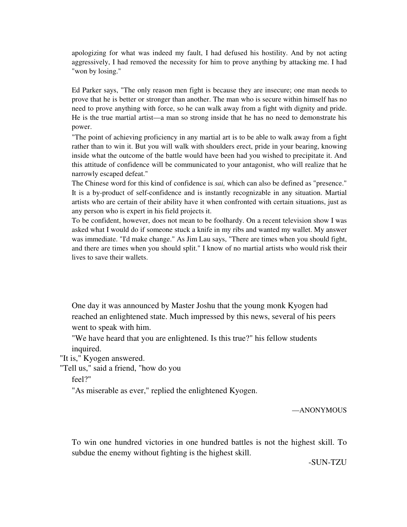apologizing for what was indeed my fault, I had defused his hostility. And by not acting aggressively, I had removed the necessity for him to prove anything by attacking me. I had "won by losing."

Ed Parker says, "The only reason men fight is because they are insecure; one man needs to prove that he is better or stronger than another. The man who is secure within himself has no need to prove anything with force, so he can walk away from a fight with dignity and pride. He is the true martial artist—a man so strong inside that he has no need to demonstrate his power.

"The point of achieving proficiency in any martial art is to be able to walk away from a fight rather than to win it. But you will walk with shoulders erect, pride in your bearing, knowing inside what the outcome of the battle would have been had you wished to precipitate it. And this attitude of confidence will be communicated to your antagonist, who will realize that he narrowly escaped defeat."

The Chinese word for this kind of confidence is *sai,* which can also be defined as "presence." It is a by-product of self-confidence and is instantly recognizable in any situation. Martial artists who are certain of their ability have it when confronted with certain situations, just as any person who is expert in his field projects it.

To be confident, however, does not mean to be foolhardy. On a recent television show I was asked what I would do if someone stuck a knife in my ribs and wanted my wallet. My answer was immediate. "I'd make change." As Jim Lau says, "There are times when you should fight, and there are times when you should split." I know of no martial artists who would risk their lives to save their wallets.

One day it was announced by Master Joshu that the young monk Kyogen had reached an enlightened state. Much impressed by this news, several of his peers went to speak with him.

"We have heard that you are enlightened. Is this true?" his fellow students inquired.

"It is," Kyogen answered.

"Tell us," said a friend, "how do you

feel?"

"As miserable as ever," replied the enlightened Kyogen.

—ANONYMOUS

To win one hundred victories in one hundred battles is not the highest skill. To subdue the enemy without fighting is the highest skill.

-SUN-TZU